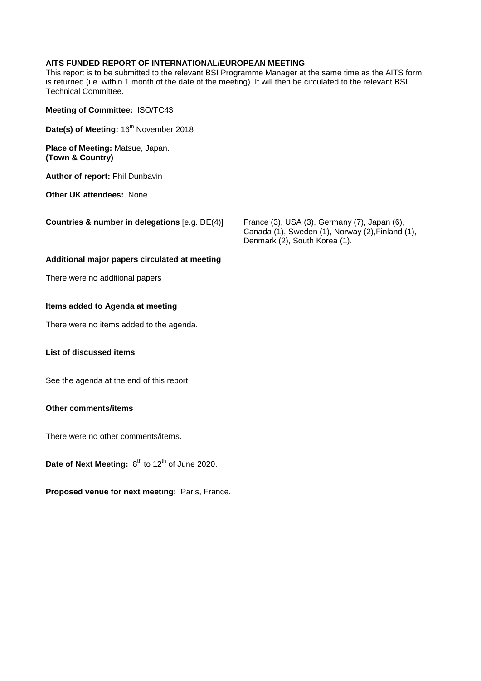#### **AITS FUNDED REPORT OF INTERNATIONAL/EUROPEAN MEETING**

This report is to be submitted to the relevant BSI Programme Manager at the same time as the AITS form is returned (i.e. within 1 month of the date of the meeting). It will then be circulated to the relevant BSI Technical Committee.

- **Meeting of Committee:** ISO/TC43
- **Date(s) of Meeting: 16<sup>th</sup> November 2018**

**Place of Meeting:** Matsue, Japan. **(Town & Country)** 

**Author of report:** Phil Dunbavin

**Other UK attendees:** None.

**Countries & number in delegations** [e.g. DE(4)] France (3), USA (3), Germany (7), Japan (6),

Canada (1), Sweden (1), Norway (2),Finland (1), Denmark (2), South Korea (1).

#### **Additional major papers circulated at meeting**

There were no additional papers

#### **Items added to Agenda at meeting**

There were no items added to the agenda.

## **List of discussed items**

See the agenda at the end of this report.

#### **Other comments/items**

There were no other comments/items.

**Date of Next Meeting:**  $8^{th}$  to 12<sup>th</sup> of June 2020.

**Proposed venue for next meeting:** Paris, France.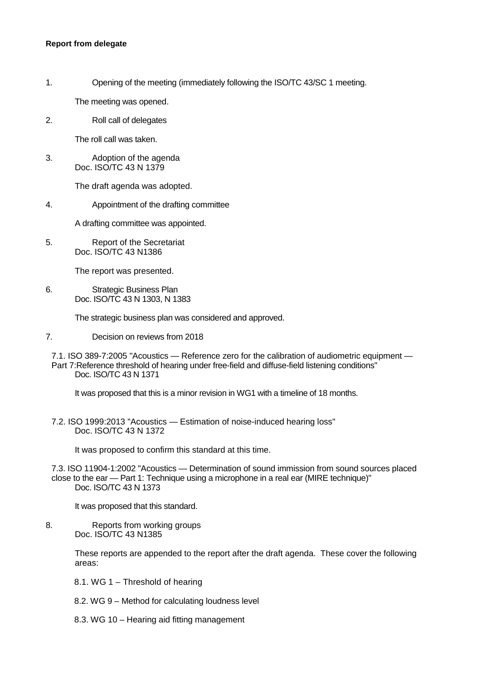#### **Report from delegate**

1. Opening of the meeting (immediately following the ISO/TC 43/SC 1 meeting.

The meeting was opened.

2. Roll call of delegates

The roll call was taken.

3. Adoption of the agenda Doc. ISO/TC 43 N 1379

The draft agenda was adopted.

4. Appointment of the drafting committee

A drafting committee was appointed.

5. Report of the Secretariat Doc. ISO/TC 43 N1386

The report was presented.

6. Strategic Business Plan Doc. ISO/TC 43 N 1303, N 1383

The strategic business plan was considered and approved.

7. Decision on reviews from 2018

7.1. ISO 389-7:2005 "Acoustics — Reference zero for the calibration of audiometric equipment — Part 7:Reference threshold of hearing under free-field and diffuse-field listening conditions" Doc. ISO/TC 43 N 1371

It was proposed that this is a minor revision in WG1 with a timeline of 18 months.

7.2. ISO 1999:2013 "Acoustics — Estimation of noise-induced hearing loss" Doc. ISO/TC 43 N 1372

It was proposed to confirm this standard at this time.

7.3. ISO 11904-1:2002 "Acoustics — Determination of sound immission from sound sources placed close to the ear — Part 1: Technique using a microphone in a real ear (MIRE technique)" Doc. ISO/TC 43 N 1373

It was proposed that this standard.

8. Reports from working groups Doc. ISO/TC 43 N1385

> These reports are appended to the report after the draft agenda. These cover the following areas:

- 8.1. WG 1 Threshold of hearing
- 8.2. WG 9 Method for calculating loudness level
- 8.3. WG 10 Hearing aid fitting management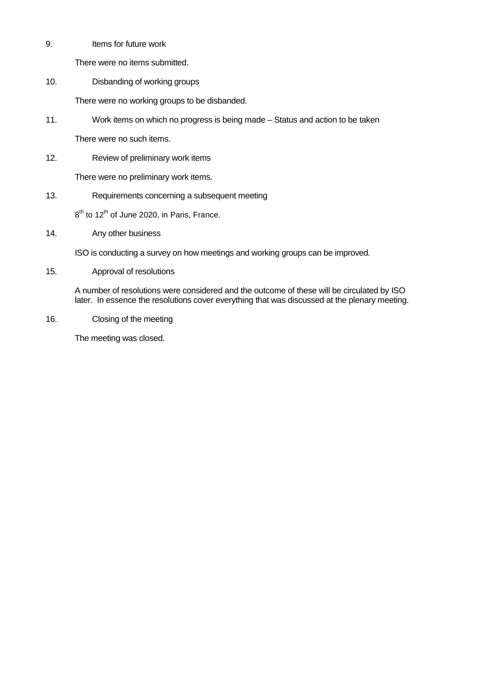9. Items for future work

There were no items submitted.

10. Disbanding of working groups

There were no working groups to be disbanded.

11. Work items on which no progress is being made – Status and action to be taken

There were no such items.

12. Review of preliminary work items

There were no preliminary work items.

13. Requirements concerning a subsequent meeting

8<sup>th</sup> to 12<sup>th</sup> of June 2020, in Paris, France.

14. Any other business

ISO is conducting a survey on how meetings and working groups can be improved.

15. Approval of resolutions

A number of resolutions were considered and the outcome of these will be circulated by ISO later. In essence the resolutions cover everything that was discussed at the plenary meeting.

16. Closing of the meeting

The meeting was closed.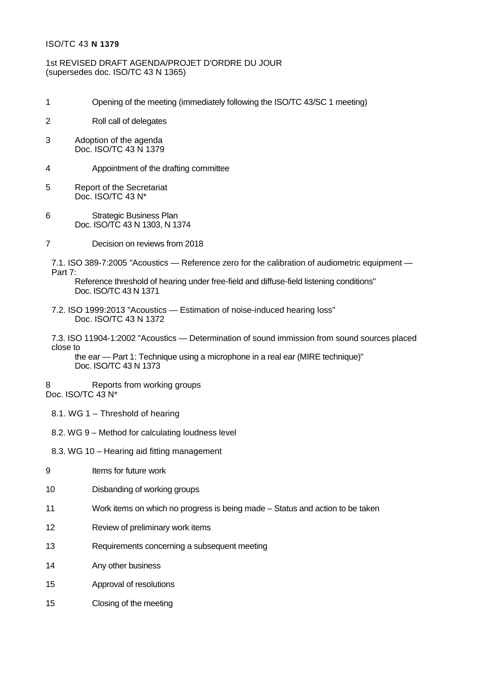# ISO/TC 43 **N 1379**

# 1st REVISED DRAFT AGENDA/PROJET D'ORDRE DU JOUR (supersedes doc. ISO/TC 43 N 1365)

- 1 Opening of the meeting (immediately following the ISO/TC 43/SC 1 meeting)
- 2 Roll call of delegates
- 3 Adoption of the agenda Doc. ISO/TC 43 N 1379
- 4 Appointment of the drafting committee
- 5 Report of the Secretariat Doc. ISO/TC 43 N\*
- 6 Strategic Business Plan Doc. ISO/TC 43 N 1303, N 1374
- 7 Decision on reviews from 2018

7.1. ISO 389-7:2005 "Acoustics — Reference zero for the calibration of audiometric equipment — Part 7:

Reference threshold of hearing under free-field and diffuse-field listening conditions" Doc. ISO/TC 43 N 1371

7.2. ISO 1999:2013 "Acoustics — Estimation of noise-induced hearing loss" Doc. ISO/TC 43 N 1372

7.3. ISO 11904-1:2002 "Acoustics — Determination of sound immission from sound sources placed close to

the ear — Part 1: Technique using a microphone in a real ear (MIRE technique)" Doc. ISO/TC 43 N 1373

8 Reports from working groups Doc. ISO/TC 43 N\*

- 8.1. WG 1 Threshold of hearing
- 8.2. WG 9 Method for calculating loudness level
- 8.3. WG 10 Hearing aid fitting management
- 9 Items for future work
- 10 Disbanding of working groups
- 11 Work items on which no progress is being made Status and action to be taken
- 12 Review of preliminary work items
- 13 Requirements concerning a subsequent meeting
- 14 Any other business
- 15 Approval of resolutions
- 15 Closing of the meeting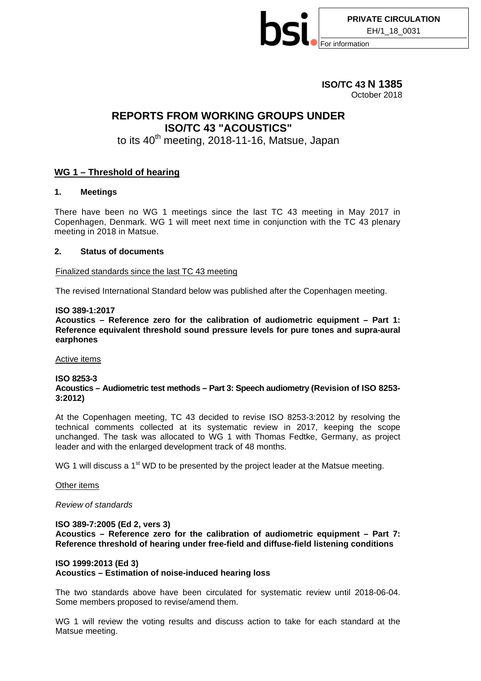

# **ISO/TC 43 N 1385** October 2018

# **REPORTS FROM WORKING GROUPS UNDER ISO/TC 43 "ACOUSTICS"**

# to its 40<sup>th</sup> meeting, 2018-11-16, Matsue, Japan

# **WG 1 – Threshold of hearing**

#### **1. Meetings**

There have been no WG 1 meetings since the last TC 43 meeting in May 2017 in Copenhagen, Denmark. WG 1 will meet next time in conjunction with the TC 43 plenary meeting in 2018 in Matsue.

#### **2. Status of documents**

Finalized standards since the last TC 43 meeting

The revised International Standard below was published after the Copenhagen meeting.

#### **ISO 389-1:2017**

**Acoustics – Reference zero for the calibration of audiometric equipment – Part 1: Reference equivalent threshold sound pressure levels for pure tones and supra-aural earphones**

Active items

#### **ISO 8253-3**

#### **Acoustics – Audiometric test methods – Part 3: Speech audiometry (Revision of ISO 8253- 3:2012)**

At the Copenhagen meeting, TC 43 decided to revise ISO 8253-3:2012 by resolving the technical comments collected at its systematic review in 2017, keeping the scope unchanged. The task was allocated to WG 1 with Thomas Fedtke, Germany, as project leader and with the enlarged development track of 48 months.

WG 1 will discuss a  $1<sup>st</sup>$  WD to be presented by the project leader at the Matsue meeting.

#### Other items

*Review of standards*

## **ISO 389-7:2005 (Ed 2, vers 3)**

**Acoustics – Reference zero for the calibration of audiometric equipment – Part 7: Reference threshold of hearing under free-field and diffuse-field listening conditions**

# **ISO 1999:2013 (Ed 3)**

# **Acoustics – Estimation of noise-induced hearing loss**

The two standards above have been circulated for systematic review until 2018-06-04. Some members proposed to revise/amend them.

WG 1 will review the voting results and discuss action to take for each standard at the Matsue meeting.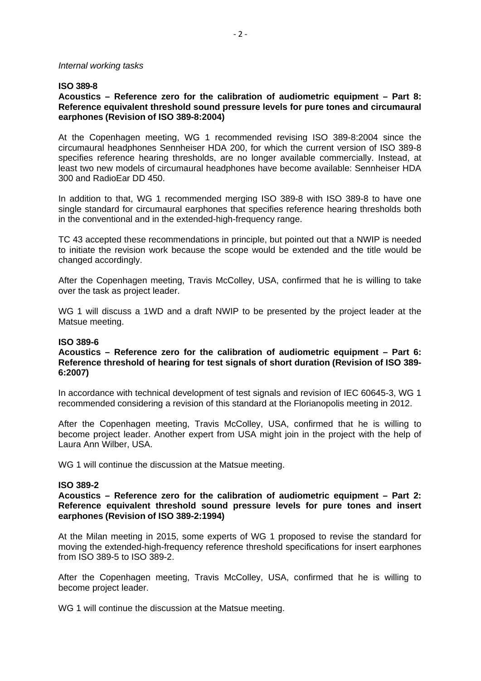#### *Internal working tasks*

# **ISO 389-8**

# **Acoustics – Reference zero for the calibration of audiometric equipment – Part 8: Reference equivalent threshold sound pressure levels for pure tones and circumaural earphones (Revision of ISO 389-8:2004)**

At the Copenhagen meeting, WG 1 recommended revising ISO 389-8:2004 since the circumaural headphones Sennheiser HDA 200, for which the current version of ISO 389-8 specifies reference hearing thresholds, are no longer available commercially. Instead, at least two new models of circumaural headphones have become available: Sennheiser HDA 300 and RadioEar DD 450.

In addition to that, WG 1 recommended merging ISO 389-8 with ISO 389-8 to have one single standard for circumaural earphones that specifies reference hearing thresholds both in the conventional and in the extended-high-frequency range.

TC 43 accepted these recommendations in principle, but pointed out that a NWIP is needed to initiate the revision work because the scope would be extended and the title would be changed accordingly.

After the Copenhagen meeting, Travis McColley, USA, confirmed that he is willing to take over the task as project leader.

WG 1 will discuss a 1WD and a draft NWIP to be presented by the project leader at the Matsue meeting.

#### **ISO 389-6**

## **Acoustics – Reference zero for the calibration of audiometric equipment – Part 6: Reference threshold of hearing for test signals of short duration (Revision of ISO 389- 6:2007)**

In accordance with technical development of test signals and revision of IEC 60645-3, WG 1 recommended considering a revision of this standard at the Florianopolis meeting in 2012.

After the Copenhagen meeting, Travis McColley, USA, confirmed that he is willing to become project leader. Another expert from USA might join in the project with the help of Laura Ann Wilber, USA.

WG 1 will continue the discussion at the Matsue meeting.

#### **ISO 389-2**

## **Acoustics – Reference zero for the calibration of audiometric equipment – Part 2: Reference equivalent threshold sound pressure levels for pure tones and insert earphones (Revision of ISO 389-2:1994)**

At the Milan meeting in 2015, some experts of WG 1 proposed to revise the standard for moving the extended-high-frequency reference threshold specifications for insert earphones from ISO 389-5 to ISO 389-2.

After the Copenhagen meeting, Travis McColley, USA, confirmed that he is willing to become project leader.

WG 1 will continue the discussion at the Matsue meeting.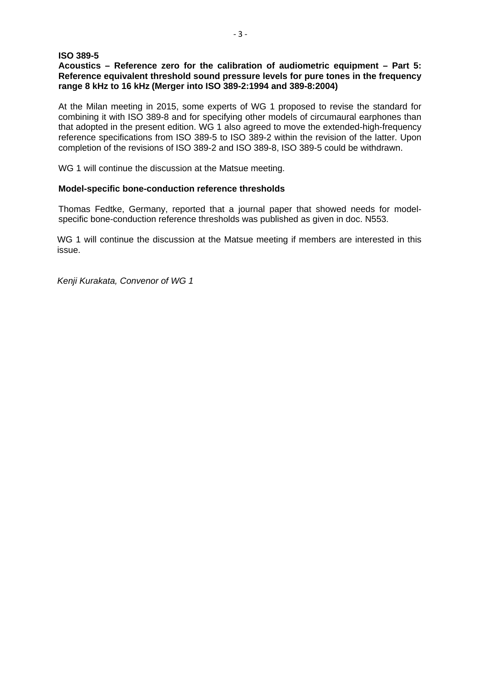# **ISO 389-5**

# **Acoustics – Reference zero for the calibration of audiometric equipment – Part 5: Reference equivalent threshold sound pressure levels for pure tones in the frequency range 8 kHz to 16 kHz (Merger into ISO 389-2:1994 and 389-8:2004)**

At the Milan meeting in 2015, some experts of WG 1 proposed to revise the standard for combining it with ISO 389-8 and for specifying other models of circumaural earphones than that adopted in the present edition. WG 1 also agreed to move the extended-high-frequency reference specifications from ISO 389-5 to ISO 389-2 within the revision of the latter. Upon completion of the revisions of ISO 389-2 and ISO 389-8, ISO 389-5 could be withdrawn.

WG 1 will continue the discussion at the Matsue meeting.

# **Model-specific bone-conduction reference thresholds**

Thomas Fedtke, Germany, reported that a journal paper that showed needs for modelspecific bone-conduction reference thresholds was published as given in doc. N553.

WG 1 will continue the discussion at the Matsue meeting if members are interested in this issue.

*Kenji Kurakata, Convenor of WG 1*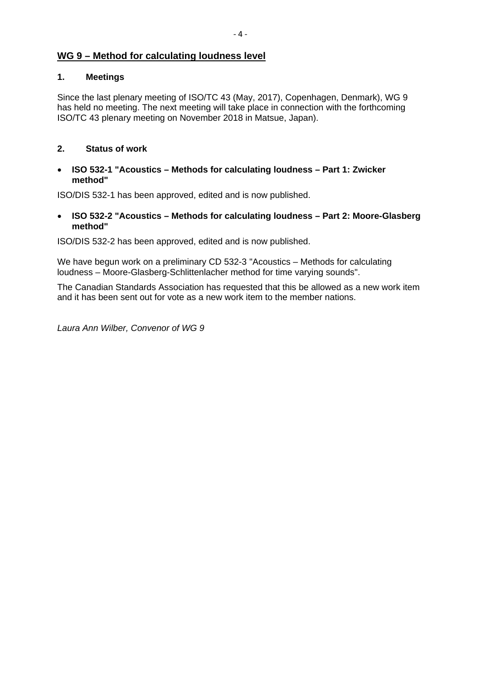# **WG 9 – Method for calculating loudness level**

# **1. Meetings**

Since the last plenary meeting of ISO/TC 43 (May, 2017), Copenhagen, Denmark), WG 9 has held no meeting. The next meeting will take place in connection with the forthcoming ISO/TC 43 plenary meeting on November 2018 in Matsue, Japan).

# **2. Status of work**

• **ISO 532-1 "Acoustics – Methods for calculating loudness – Part 1: Zwicker method"**

ISO/DIS 532-1 has been approved, edited and is now published.

• **ISO 532-2 "Acoustics – Methods for calculating loudness – Part 2: Moore-Glasberg method"**

ISO/DIS 532-2 has been approved, edited and is now published.

We have begun work on a preliminary CD 532-3 "Acoustics – Methods for calculating loudness – Moore-Glasberg-Schlittenlacher method for time varying sounds".

The Canadian Standards Association has requested that this be allowed as a new work item and it has been sent out for vote as a new work item to the member nations.

*Laura Ann Wilber, Convenor of WG 9*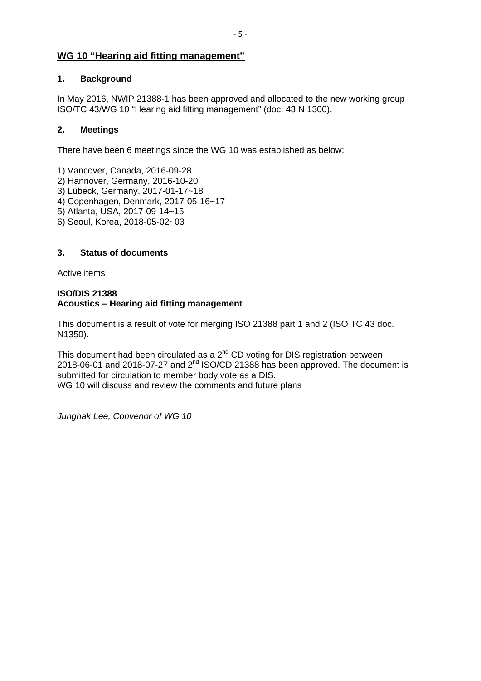# **WG 10 "Hearing aid fitting management"**

# **1. Background**

In May 2016, NWIP 21388-1 has been approved and allocated to the new working group ISO/TC 43/WG 10 "Hearing aid fitting management" (doc. 43 N 1300).

# **2. Meetings**

There have been 6 meetings since the WG 10 was established as below:

- 1) Vancover, Canada, 2016-09-28 2) Hannover, Germany, 2016-10-20 3) Lübeck, Germany, 2017-01-17~18 4) Copenhagen, Denmark, 2017-05-16~17
- 5) Atlanta, USA, 2017-09-14~15
- 6) Seoul, Korea, 2018-05-02~03

# **3. Status of documents**

Active items

# **ISO/DIS 21388 Acoustics – Hearing aid fitting management**

This document is a result of vote for merging ISO 21388 part 1 and 2 (ISO TC 43 doc. N1350).

This document had been circulated as a  $2^{nd}$  CD voting for DIS registration between 2018-06-01 and 2018-07-27 and  $2^{nd}$  ISO/CD 21388 has been approved. The document is submitted for circulation to member body vote as a DIS. WG 10 will discuss and review the comments and future plans

*Junghak Lee, Convenor of WG 10*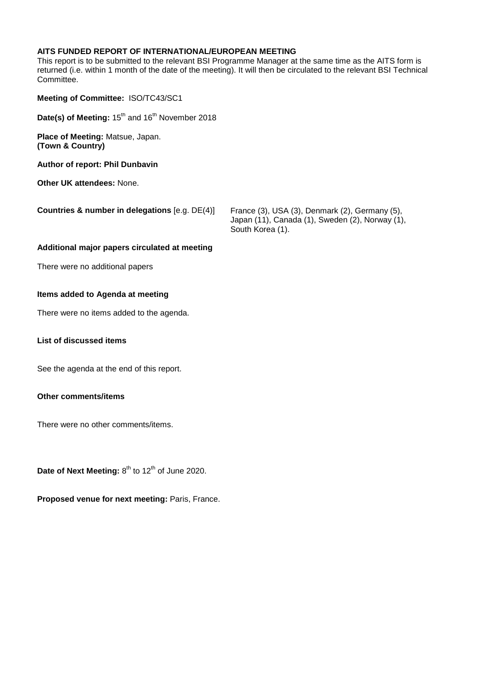# **AITS FUNDED REPORT OF INTERNATIONAL/EUROPEAN MEETING**

This report is to be submitted to the relevant BSI Programme Manager at the same time as the AITS form is returned (i.e. within 1 month of the date of the meeting). It will then be circulated to the relevant BSI Technical Committee.

| Meeting of Committee: ISO/TC43/SC1                                      |                                                                                                                       |
|-------------------------------------------------------------------------|-----------------------------------------------------------------------------------------------------------------------|
| Date(s) of Meeting: 15 <sup>th</sup> and 16 <sup>th</sup> November 2018 |                                                                                                                       |
| <b>Place of Meeting: Matsue, Japan.</b><br>(Town & Country)             |                                                                                                                       |
| <b>Author of report: Phil Dunbavin</b>                                  |                                                                                                                       |
| <b>Other UK attendees: None.</b>                                        |                                                                                                                       |
| <b>Countries &amp; number in delegations [e.g. DE(4)]</b>               | France (3), USA (3), Denmark (2), Germany (5),<br>Japan (11), Canada (1), Sweden (2), Norway (1),<br>South Korea (1). |
| Additional major papers circulated at meeting                           |                                                                                                                       |
| There were no additional papers                                         |                                                                                                                       |

#### **Items added to Agenda at meeting**

There were no items added to the agenda.

# **List of discussed items**

See the agenda at the end of this report.

# **Other comments/items**

There were no other comments/items.

Date of Next Meeting: 8<sup>th</sup> to 12<sup>th</sup> of June 2020.

**Proposed venue for next meeting:** Paris, France.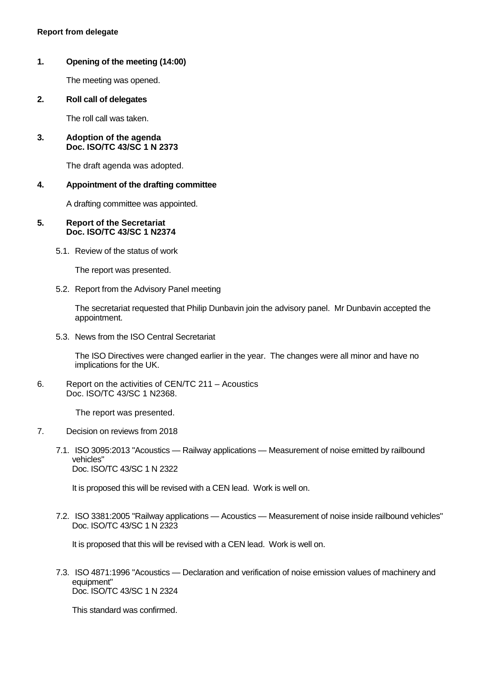# **1. Opening of the meeting (14:00)**

The meeting was opened.

**2. Roll call of delegates** 

The roll call was taken.

#### **3. Adoption of the agenda Doc. ISO/TC 43/SC 1 N 2373**

The draft agenda was adopted.

## **4. Appointment of the drafting committee**

A drafting committee was appointed.

#### **5. Report of the Secretariat Doc. ISO/TC 43/SC 1 N2374**

5.1. Review of the status of work

The report was presented.

5.2. Report from the Advisory Panel meeting

The secretariat requested that Philip Dunbavin join the advisory panel. Mr Dunbavin accepted the appointment.

5.3. News from the ISO Central Secretariat

The ISO Directives were changed earlier in the year. The changes were all minor and have no implications for the UK.

6. Report on the activities of CEN/TC 211 – Acoustics Doc. ISO/TC 43/SC 1 N2368.

The report was presented.

- 7. Decision on reviews from 2018
	- 7.1. ISO 3095:2013 "Acoustics Railway applications Measurement of noise emitted by railbound vehicles" Doc. ISO/TC 43/SC 1 N 2322

It is proposed this will be revised with a CEN lead. Work is well on.

 7.2. ISO 3381:2005 "Railway applications — Acoustics — Measurement of noise inside railbound vehicles" Doc. ISO/TC 43/SC 1 N 2323

It is proposed that this will be revised with a CEN lead. Work is well on.

 7.3. ISO 4871:1996 "Acoustics — Declaration and verification of noise emission values of machinery and equipment" Doc. ISO/TC 43/SC 1 N 2324

This standard was confirmed.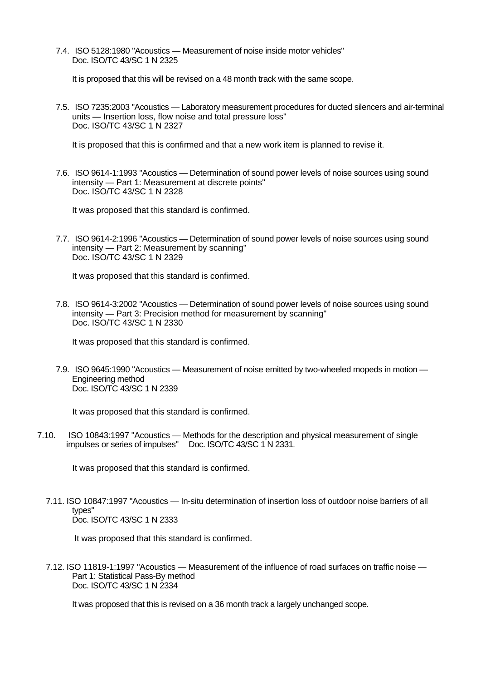7.4. ISO 5128:1980 "Acoustics — Measurement of noise inside motor vehicles" Doc. ISO/TC 43/SC 1 N 2325

It is proposed that this will be revised on a 48 month track with the same scope.

 7.5. ISO 7235:2003 "Acoustics — Laboratory measurement procedures for ducted silencers and air-terminal units — Insertion loss, flow noise and total pressure loss" Doc. ISO/TC 43/SC 1 N 2327

It is proposed that this is confirmed and that a new work item is planned to revise it.

 7.6. ISO 9614-1:1993 "Acoustics — Determination of sound power levels of noise sources using sound intensity — Part 1: Measurement at discrete points" Doc. ISO/TC 43/SC 1 N 2328

It was proposed that this standard is confirmed.

 7.7. ISO 9614-2:1996 "Acoustics — Determination of sound power levels of noise sources using sound intensity — Part 2: Measurement by scanning" Doc. ISO/TC 43/SC 1 N 2329

It was proposed that this standard is confirmed.

 7.8. ISO 9614-3:2002 "Acoustics — Determination of sound power levels of noise sources using sound intensity — Part 3: Precision method for measurement by scanning" Doc. ISO/TC 43/SC 1 N 2330

It was proposed that this standard is confirmed.

 7.9. ISO 9645:1990 "Acoustics — Measurement of noise emitted by two-wheeled mopeds in motion — Engineering method Doc. ISO/TC 43/SC 1 N 2339

It was proposed that this standard is confirmed.

7.10. ISO 10843:1997 "Acoustics — Methods for the description and physical measurement of single impulses or series of impulses" Doc. ISO/TC 43/SC 1 N 2331.

It was proposed that this standard is confirmed.

7.11. ISO 10847:1997 "Acoustics — In-situ determination of insertion loss of outdoor noise barriers of all types" Doc. ISO/TC 43/SC 1 N 2333

It was proposed that this standard is confirmed.

7.12. ISO 11819-1:1997 "Acoustics — Measurement of the influence of road surfaces on traffic noise — Part 1: Statistical Pass-By method Doc. ISO/TC 43/SC 1 N 2334

It was proposed that this is revised on a 36 month track a largely unchanged scope.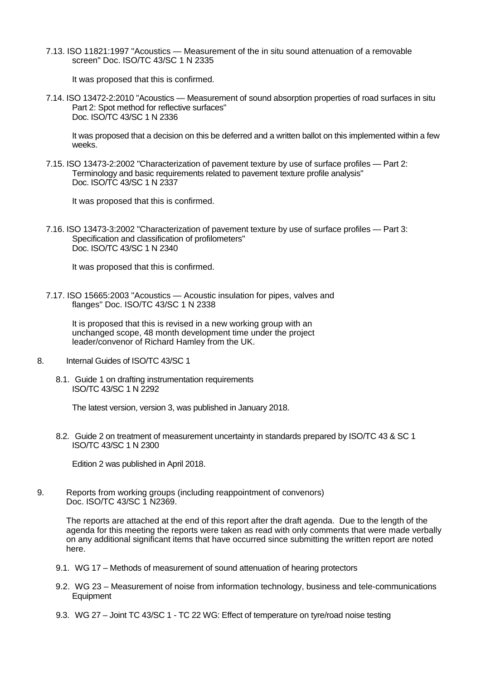7.13. ISO 11821:1997 "Acoustics — Measurement of the in situ sound attenuation of a removable screen" Doc. ISO/TC 43/SC 1 N 2335

It was proposed that this is confirmed.

7.14. ISO 13472-2:2010 "Acoustics — Measurement of sound absorption properties of road surfaces in situ Part 2: Spot method for reflective surfaces" Doc. ISO/TC 43/SC 1 N 2336

It was proposed that a decision on this be deferred and a written ballot on this implemented within a few weeks.

7.15. ISO 13473-2:2002 "Characterization of pavement texture by use of surface profiles — Part 2: Terminology and basic requirements related to pavement texture profile analysis" Doc. ISO/TC 43/SC 1 N 2337

It was proposed that this is confirmed.

7.16. ISO 13473-3:2002 "Characterization of pavement texture by use of surface profiles — Part 3: Specification and classification of profilometers" Doc. ISO/TC 43/SC 1 N 2340

It was proposed that this is confirmed.

7.17. ISO 15665:2003 "Acoustics — Acoustic insulation for pipes, valves and flanges" Doc. ISO/TC 43/SC 1 N 2338

It is proposed that this is revised in a new working group with an unchanged scope, 48 month development time under the project leader/convenor of Richard Hamley from the UK.

- 8. Internal Guides of ISO/TC 43/SC 1
	- 8.1. Guide 1 on drafting instrumentation requirements ISO/TC 43/SC 1 N 2292

The latest version, version 3, was published in January 2018.

 8.2. Guide 2 on treatment of measurement uncertainty in standards prepared by ISO/TC 43 & SC 1 ISO/TC 43/SC 1 N 2300

Edition 2 was published in April 2018.

9. Reports from working groups (including reappointment of convenors) Doc. ISO/TC 43/SC 1 N2369.

The reports are attached at the end of this report after the draft agenda. Due to the length of the agenda for this meeting the reports were taken as read with only comments that were made verbally on any additional significant items that have occurred since submitting the written report are noted here.

- 9.1. WG 17 Methods of measurement of sound attenuation of hearing protectors
- 9.2. WG 23 Measurement of noise from information technology, business and tele-communications **Equipment**
- 9.3. WG 27 Joint TC 43/SC 1 TC 22 WG: Effect of temperature on tyre/road noise testing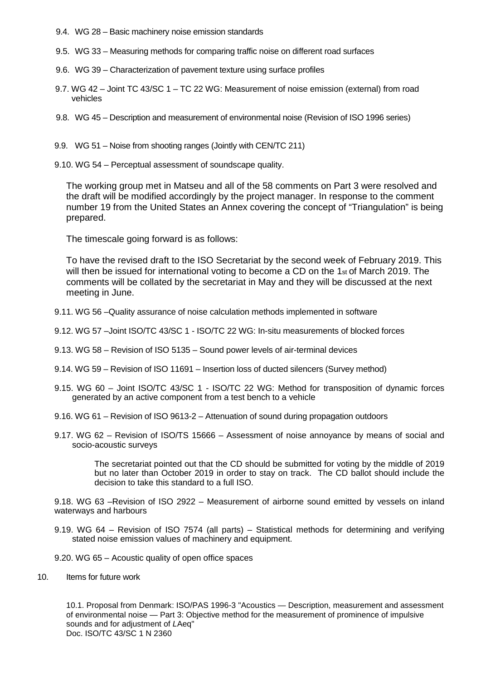- 9.4. WG 28 Basic machinery noise emission standards
- 9.5. WG 33 Measuring methods for comparing traffic noise on different road surfaces
- 9.6. WG 39 Characterization of pavement texture using surface profiles
- 9.7. WG 42 Joint TC 43/SC 1 TC 22 WG: Measurement of noise emission (external) from road vehicles
- 9.8. WG 45 Description and measurement of environmental noise (Revision of ISO 1996 series)
- 9.9. WG 51 Noise from shooting ranges (Jointly with CEN/TC 211)
- 9.10. WG 54 Perceptual assessment of soundscape quality.

The working group met in Matseu and all of the 58 comments on Part 3 were resolved and the draft will be modified accordingly by the project manager. In response to the comment number 19 from the United States an Annex covering the concept of "Triangulation" is being prepared.

The timescale going forward is as follows:

To have the revised draft to the ISO Secretariat by the second week of February 2019. This will then be issued for international voting to become a CD on the 1<sup>st</sup> of March 2019. The comments will be collated by the secretariat in May and they will be discussed at the next meeting in June.

- 9.11. WG 56 –Quality assurance of noise calculation methods implemented in software
- 9.12. WG 57 –Joint ISO/TC 43/SC 1 ISO/TC 22 WG: In-situ measurements of blocked forces
- 9.13. WG 58 Revision of ISO 5135 Sound power levels of air-terminal devices
- 9.14. WG 59 Revision of ISO 11691 Insertion loss of ducted silencers (Survey method)
- 9.15. WG 60 Joint ISO/TC 43/SC 1 ISO/TC 22 WG: Method for transposition of dynamic forces generated by an active component from a test bench to a vehicle
- 9.16. WG 61 Revision of ISO 9613-2 Attenuation of sound during propagation outdoors
- 9.17. WG 62 Revision of ISO/TS 15666 Assessment of noise annoyance by means of social and socio-acoustic surveys

 The secretariat pointed out that the CD should be submitted for voting by the middle of 2019 but no later than October 2019 in order to stay on track. The CD ballot should include the decision to take this standard to a full ISO.

9.18. WG 63 –Revision of ISO 2922 – Measurement of airborne sound emitted by vessels on inland waterways and harbours

- 9.19. WG 64 Revision of ISO 7574 (all parts) Statistical methods for determining and verifying stated noise emission values of machinery and equipment.
- 9.20. WG 65 Acoustic quality of open office spaces
- 10. Items for future work

10.1. Proposal from Denmark: ISO/PAS 1996-3 "Acoustics — Description, measurement and assessment of environmental noise — Part 3: Objective method for the measurement of prominence of impulsive sounds and for adjustment of *L*Aeq" Doc. ISO/TC 43/SC 1 N 2360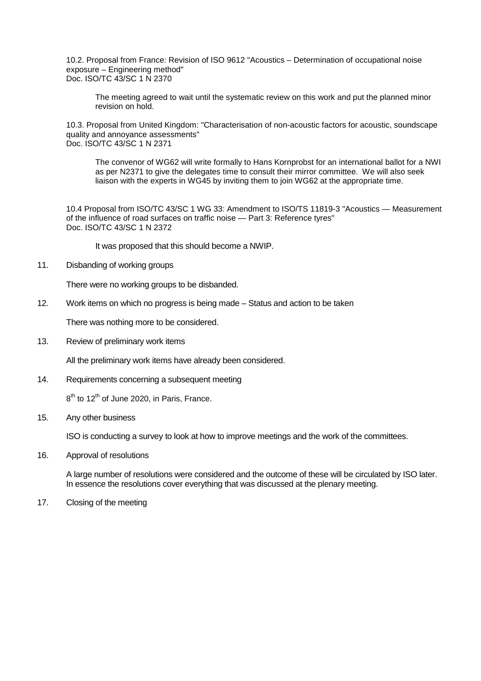10.2. Proposal from France: Revision of ISO 9612 "Acoustics – Determination of occupational noise exposure – Engineering method" Doc. ISO/TC 43/SC 1 N 2370

The meeting agreed to wait until the systematic review on this work and put the planned minor revision on hold.

10.3. Proposal from United Kingdom: "Characterisation of non-acoustic factors for acoustic, soundscape quality and annoyance assessments" Doc. ISO/TC 43/SC 1 N 2371

The convenor of WG62 will write formally to Hans Kornprobst for an international ballot for a NWI as per N2371 to give the delegates time to consult their mirror committee. We will also seek liaison with the experts in WG45 by inviting them to join WG62 at the appropriate time.

10.4 Proposal from ISO/TC 43/SC 1 WG 33: Amendment to ISO/TS 11819-3 "Acoustics — Measurement of the influence of road surfaces on traffic noise — Part 3: Reference tyres" Doc. ISO/TC 43/SC 1 N 2372

It was proposed that this should become a NWIP.

11. Disbanding of working groups

There were no working groups to be disbanded.

12. Work items on which no progress is being made – Status and action to be taken

There was nothing more to be considered.

13. Review of preliminary work items

All the preliminary work items have already been considered.

14. Requirements concerning a subsequent meeting

 $8<sup>th</sup>$  to 12<sup>th</sup> of June 2020, in Paris, France.

15. Any other business

ISO is conducting a survey to look at how to improve meetings and the work of the committees.

16. Approval of resolutions

A large number of resolutions were considered and the outcome of these will be circulated by ISO later. In essence the resolutions cover everything that was discussed at the plenary meeting.

17. Closing of the meeting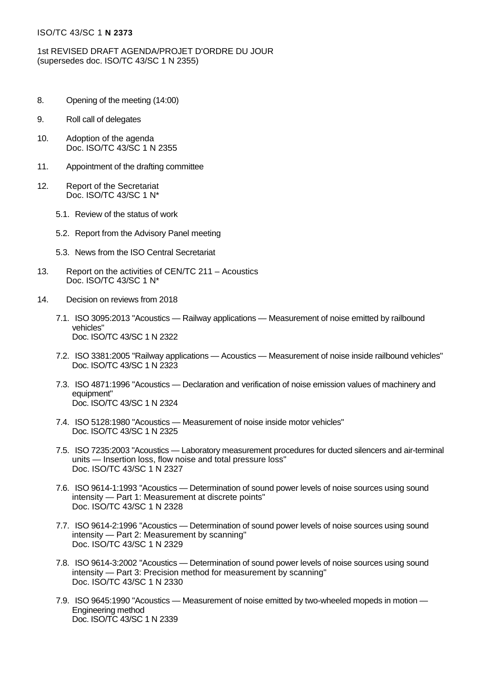## ISO/TC 43/SC 1 **N 2373**

1st REVISED DRAFT AGENDA/PROJET D'ORDRE DU JOUR (supersedes doc. ISO/TC 43/SC 1 N 2355)

- 8. Opening of the meeting (14:00)
- 9. Roll call of delegates
- 10. Adoption of the agenda Doc. ISO/TC 43/SC 1 N 2355
- 11. Appointment of the drafting committee
- 12. Report of the Secretariat Doc. ISO/TC 43/SC 1 N\*
	- 5.1. Review of the status of work
	- 5.2. Report from the Advisory Panel meeting
	- 5.3. News from the ISO Central Secretariat
- 13. Report on the activities of CEN/TC 211 Acoustics Doc. ISO/TC 43/SC 1 N\*
- 14. Decision on reviews from 2018
	- 7.1. ISO 3095:2013 "Acoustics Railway applications Measurement of noise emitted by railbound vehicles" Doc. ISO/TC 43/SC 1 N 2322
	- 7.2. ISO 3381:2005 "Railway applications Acoustics Measurement of noise inside railbound vehicles" Doc. ISO/TC 43/SC 1 N 2323
	- 7.3. ISO 4871:1996 "Acoustics Declaration and verification of noise emission values of machinery and equipment" Doc. ISO/TC 43/SC 1 N 2324
	- 7.4. ISO 5128:1980 "Acoustics Measurement of noise inside motor vehicles" Doc. ISO/TC 43/SC 1 N 2325
	- 7.5. ISO 7235:2003 "Acoustics Laboratory measurement procedures for ducted silencers and air-terminal units — Insertion loss, flow noise and total pressure loss" Doc. ISO/TC 43/SC 1 N 2327
	- 7.6. ISO 9614-1:1993 "Acoustics Determination of sound power levels of noise sources using sound intensity — Part 1: Measurement at discrete points" Doc. ISO/TC 43/SC 1 N 2328
	- 7.7. ISO 9614-2:1996 "Acoustics Determination of sound power levels of noise sources using sound intensity — Part 2: Measurement by scanning" Doc. ISO/TC 43/SC 1 N 2329
	- 7.8. ISO 9614-3:2002 "Acoustics Determination of sound power levels of noise sources using sound intensity — Part 3: Precision method for measurement by scanning" Doc. ISO/TC 43/SC 1 N 2330
	- 7.9. ISO 9645:1990 "Acoustics Measurement of noise emitted by two-wheeled mopeds in motion Engineering method Doc. ISO/TC 43/SC 1 N 2339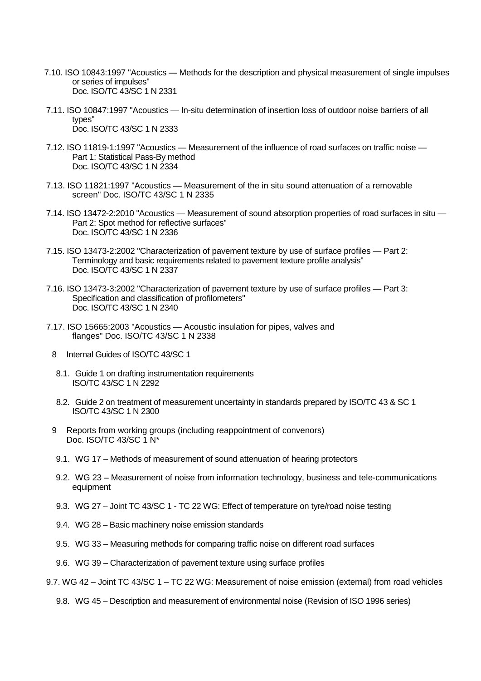- 7.10. ISO 10843:1997 "Acoustics Methods for the description and physical measurement of single impulses or series of impulses" Doc. ISO/TC 43/SC 1 N 2331
- 7.11. ISO 10847:1997 "Acoustics In-situ determination of insertion loss of outdoor noise barriers of all types" Doc. ISO/TC 43/SC 1 N 2333
- 7.12. ISO 11819-1:1997 "Acoustics Measurement of the influence of road surfaces on traffic noise Part 1: Statistical Pass-By method Doc. ISO/TC 43/SC 1 N 2334
- 7.13. ISO 11821:1997 "Acoustics Measurement of the in situ sound attenuation of a removable screen" Doc. ISO/TC 43/SC 1 N 2335
- 7.14. ISO 13472-2:2010 "Acoustics Measurement of sound absorption properties of road surfaces in situ Part 2: Spot method for reflective surfaces" Doc. ISO/TC 43/SC 1 N 2336
- 7.15. ISO 13473-2:2002 "Characterization of pavement texture by use of surface profiles Part 2: Terminology and basic requirements related to pavement texture profile analysis" Doc. ISO/TC 43/SC 1 N 2337
- 7.16. ISO 13473-3:2002 "Characterization of pavement texture by use of surface profiles Part 3: Specification and classification of profilometers" Doc. ISO/TC 43/SC 1 N 2340
- 7.17. ISO 15665:2003 "Acoustics Acoustic insulation for pipes, valves and flanges" Doc. ISO/TC 43/SC 1 N 2338
	- 8 Internal Guides of ISO/TC 43/SC 1
	- 8.1. Guide 1 on drafting instrumentation requirements ISO/TC 43/SC 1 N 2292
	- 8.2. Guide 2 on treatment of measurement uncertainty in standards prepared by ISO/TC 43 & SC 1 ISO/TC 43/SC 1 N 2300
	- 9 Reports from working groups (including reappointment of convenors) Doc. ISO/TC 43/SC 1 N\*
	- 9.1. WG 17 Methods of measurement of sound attenuation of hearing protectors
	- 9.2. WG 23 Measurement of noise from information technology, business and tele-communications equipment
	- 9.3. WG 27 Joint TC 43/SC 1 TC 22 WG: Effect of temperature on tyre/road noise testing
	- 9.4. WG 28 Basic machinery noise emission standards
	- 9.5. WG 33 Measuring methods for comparing traffic noise on different road surfaces
	- 9.6. WG 39 Characterization of pavement texture using surface profiles
- 9.7. WG 42 Joint TC 43/SC 1 TC 22 WG: Measurement of noise emission (external) from road vehicles
	- 9.8. WG 45 Description and measurement of environmental noise (Revision of ISO 1996 series)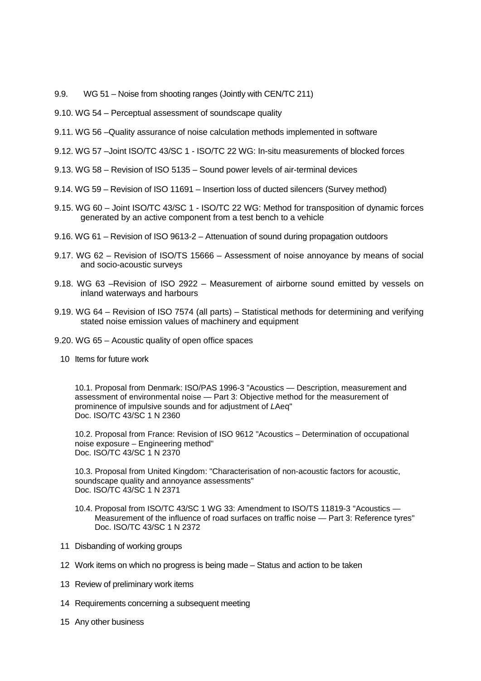- 9.9. WG 51 Noise from shooting ranges (Jointly with CEN/TC 211)
- 9.10. WG 54 Perceptual assessment of soundscape quality
- 9.11. WG 56 –Quality assurance of noise calculation methods implemented in software
- 9.12. WG 57 –Joint ISO/TC 43/SC 1 ISO/TC 22 WG: In-situ measurements of blocked forces
- 9.13. WG 58 Revision of ISO 5135 Sound power levels of air-terminal devices
- 9.14. WG 59 Revision of ISO 11691 Insertion loss of ducted silencers (Survey method)
- 9.15. WG 60 Joint ISO/TC 43/SC 1 ISO/TC 22 WG: Method for transposition of dynamic forces generated by an active component from a test bench to a vehicle
- 9.16. WG 61 Revision of ISO 9613-2 Attenuation of sound during propagation outdoors
- 9.17. WG 62 Revision of ISO/TS 15666 Assessment of noise annoyance by means of social and socio-acoustic surveys
- 9.18. WG 63 –Revision of ISO 2922 Measurement of airborne sound emitted by vessels on inland waterways and harbours
- 9.19. WG 64 Revision of ISO 7574 (all parts) Statistical methods for determining and verifying stated noise emission values of machinery and equipment
- 9.20. WG 65 Acoustic quality of open office spaces
	- 10 Items for future work

10.1. Proposal from Denmark: ISO/PAS 1996-3 "Acoustics — Description, measurement and assessment of environmental noise — Part 3: Objective method for the measurement of prominence of impulsive sounds and for adjustment of *L*Aeq" Doc. ISO/TC 43/SC 1 N 2360

10.2. Proposal from France: Revision of ISO 9612 "Acoustics – Determination of occupational noise exposure – Engineering method" Doc. ISO/TC 43/SC 1 N 2370

10.3. Proposal from United Kingdom: "Characterisation of non-acoustic factors for acoustic, soundscape quality and annoyance assessments" Doc. ISO/TC 43/SC 1 N 2371

- 10.4. Proposal from ISO/TC 43/SC 1 WG 33: Amendment to ISO/TS 11819-3 "Acoustics Measurement of the influence of road surfaces on traffic noise — Part 3: Reference tyres" Doc. ISO/TC 43/SC 1 N 2372
- 11 Disbanding of working groups
- 12 Work items on which no progress is being made Status and action to be taken
- 13 Review of preliminary work items
- 14 Requirements concerning a subsequent meeting
- 15 Any other business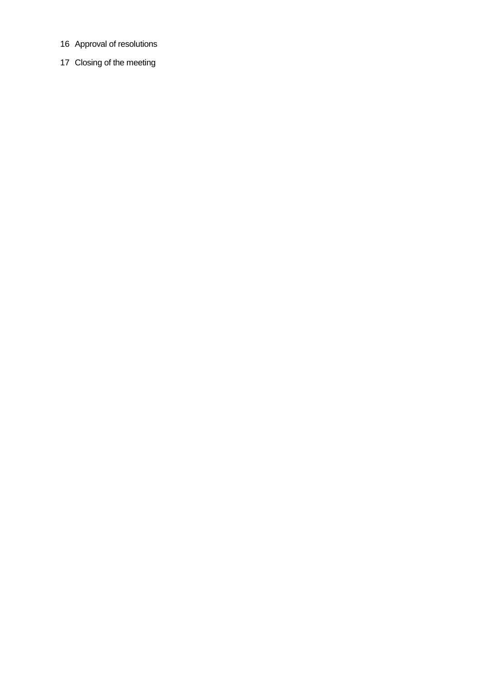- 16 Approval of resolutions
- 17 Closing of the meeting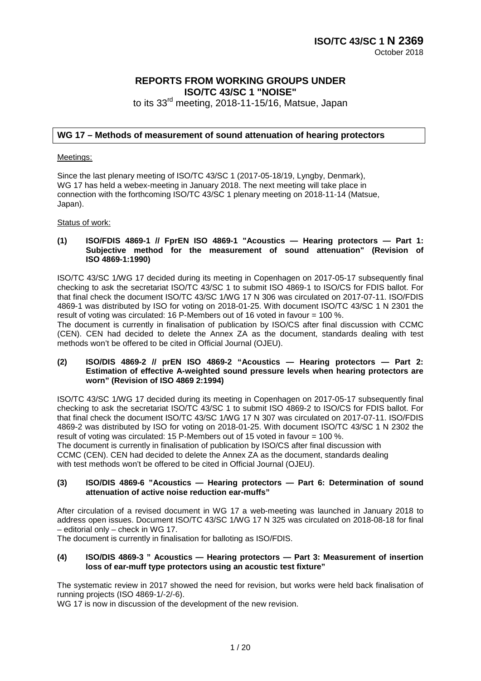# **REPORTS FROM WORKING GROUPS UNDER ISO/TC 43/SC 1 "NOISE"**

to its 33<sup>rd</sup> meeting, 2018-11-15/16, Matsue, Japan

# **WG 17 – Methods of measurement of sound attenuation of hearing protectors**

#### Meetings:

Since the last plenary meeting of ISO/TC 43/SC 1 (2017-05-18/19, Lyngby, Denmark), WG 17 has held a webex-meeting in January 2018. The next meeting will take place in connection with the forthcoming ISO/TC 43/SC 1 plenary meeting on 2018-11-14 (Matsue, Japan).

Status of work:

#### **(1) ISO/FDIS 4869-1 // FprEN ISO 4869-1 "Acoustics — Hearing protectors — Part 1: Subjective method for the measurement of sound attenuation" (Revision of ISO 4869-1:1990)**

ISO/TC 43/SC 1/WG 17 decided during its meeting in Copenhagen on 2017-05-17 subsequently final checking to ask the secretariat ISO/TC 43/SC 1 to submit ISO 4869-1 to ISO/CS for FDIS ballot. For that final check the document ISO/TC 43/SC 1/WG 17 N 306 was circulated on 2017-07-11. ISO/FDIS 4869-1 was distributed by ISO for voting on 2018-01-25. With document ISO/TC 43/SC 1 N 2301 the result of voting was circulated: 16 P-Members out of 16 voted in favour  $= 100\%$ .

The document is currently in finalisation of publication by ISO/CS after final discussion with CCMC (CEN). CEN had decided to delete the Annex ZA as the document, standards dealing with test methods won't be offered to be cited in Official Journal (OJEU).

#### **(2) ISO/DIS 4869-2 // prEN ISO 4869-2 "Acoustics — Hearing protectors — Part 2: Estimation of effective A-weighted sound pressure levels when hearing protectors are worn" (Revision of ISO 4869 2:1994)**

ISO/TC 43/SC 1/WG 17 decided during its meeting in Copenhagen on 2017-05-17 subsequently final checking to ask the secretariat ISO/TC 43/SC 1 to submit ISO 4869-2 to ISO/CS for FDIS ballot. For that final check the document ISO/TC 43/SC 1/WG 17 N 307 was circulated on 2017-07-11. ISO/FDIS 4869-2 was distributed by ISO for voting on 2018-01-25. With document ISO/TC 43/SC 1 N 2302 the result of voting was circulated: 15 P-Members out of 15 voted in favour = 100 %.

The document is currently in finalisation of publication by ISO/CS after final discussion with CCMC (CEN). CEN had decided to delete the Annex ZA as the document, standards dealing with test methods won't be offered to be cited in Official Journal (OJEU).

#### **(3) ISO/DIS 4869-6 "Acoustics — Hearing protectors — Part 6: Determination of sound attenuation of active noise reduction ear-muffs"**

After circulation of a revised document in WG 17 a web-meeting was launched in January 2018 to address open issues. Document ISO/TC 43/SC 1/WG 17 N 325 was circulated on 2018-08-18 for final – editorial only – check in WG 17.

The document is currently in finalisation for balloting as ISO/FDIS.

#### **(4) ISO/DIS 4869-3 " Acoustics — Hearing protectors — Part 3: Measurement of insertion loss of ear-muff type protectors using an acoustic test fixture"**

The systematic review in 2017 showed the need for revision, but works were held back finalisation of running projects (ISO 4869-1/-2/-6).

WG 17 is now in discussion of the development of the new revision.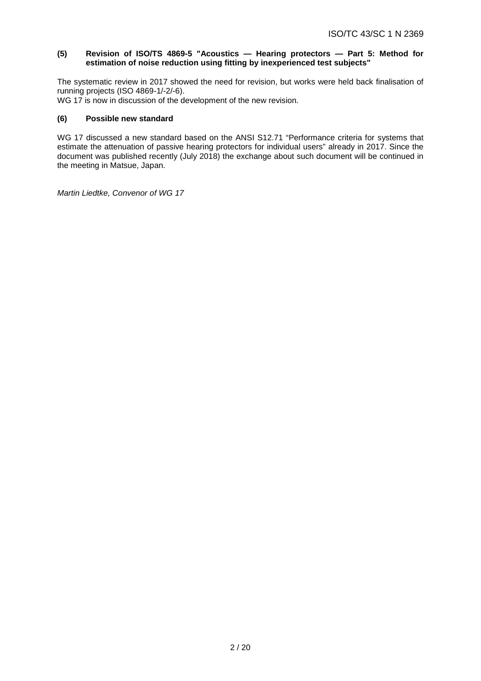## **(5) Revision of ISO/TS 4869-5 "Acoustics — Hearing protectors — Part 5: Method for estimation of noise reduction using fitting by inexperienced test subjects"**

The systematic review in 2017 showed the need for revision, but works were held back finalisation of running projects (ISO 4869-1/-2/-6).

WG 17 is now in discussion of the development of the new revision.

### **(6) Possible new standard**

WG 17 discussed a new standard based on the ANSI S12.71 "Performance criteria for systems that estimate the attenuation of passive hearing protectors for individual users" already in 2017. Since the document was published recently (July 2018) the exchange about such document will be continued in the meeting in Matsue, Japan.

*Martin Liedtke, Convenor of WG 17*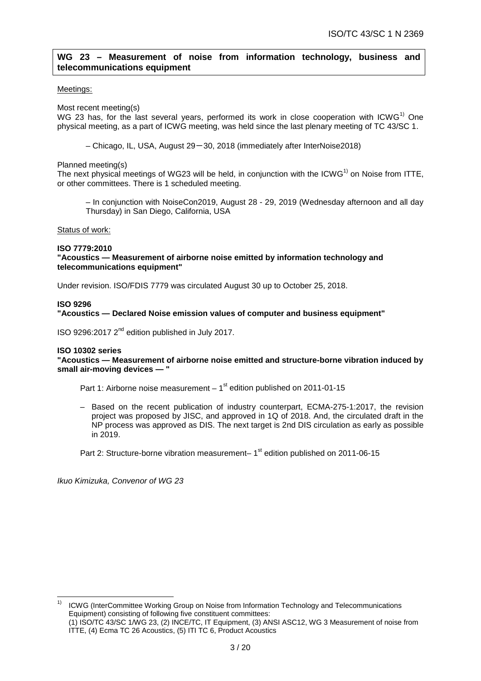# **WG 23 – Measurement of noise from information technology, business and telecommunications equipment**

#### Meetings:

Most recent meeting(s)

WG 23 has, for the last several years, performed its work in close cooperation with  $ICWG<sup>1</sup>$  One physical meeting, as a part of ICWG meeting, was held since the last plenary meeting of TC 43/SC 1.

– Chicago, IL, USA, August 29-30, 2018 (immediately after InterNoise2018)

Planned meeting(s)

The next physical meetings of WG23 will be held, in conjunction with the ICWG<sup>1)</sup> on Noise from ITTE. or other committees. There is 1 scheduled meeting.

– In conjunction with NoiseCon2019, August 28 - 29, 2019 (Wednesday afternoon and all day Thursday) in San Diego, California, USA

Status of work:

#### **ISO 7779:2010 "Acoustics — Measurement of airborne noise emitted by information technology and telecommunications equipment"**

Under revision. ISO/FDIS 7779 was circulated August 30 up to October 25, 2018.

#### **ISO 9296**

**"Acoustics — Declared Noise emission values of computer and business equipment"**

ISO 9296:2017 2nd edition published in July 2017.

#### **ISO 10302 series**

**"Acoustics — Measurement of airborne noise emitted and structure-borne vibration induced by small air-moving devices — "**

Part 1: Airborne noise measurement  $-1<sup>st</sup>$  edition published on 2011-01-15

– Based on the recent publication of industry counterpart, ECMA-275-1:2017, the revision project was proposed by JISC, and approved in 1Q of 2018. And, the circulated draft in the NP process was approved as DIS. The next target is 2nd DIS circulation as early as possible in 2019.

Part 2: Structure-borne vibration measurement– 1<sup>st</sup> edition published on 2011-06-15

*Ikuo Kimizuka, Convenor of WG 23*

 1) ICWG (InterCommittee Working Group on Noise from Information Technology and Telecommunications Equipment) consisting of following five constituent committees: (1) ISO/TC 43/SC 1/WG 23, (2) INCE/TC, IT Equipment, (3) ANSI ASC12, WG 3 Measurement of noise from ITTE, (4) Ecma TC 26 Acoustics, (5) ITI TC 6, Product Acoustics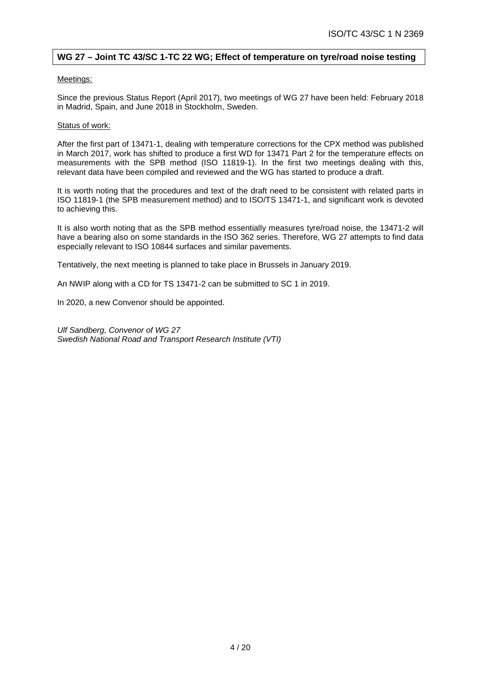# **WG 27 – Joint TC 43/SC 1-TC 22 WG; Effect of temperature on tyre/road noise testing**

#### Meetings:

Since the previous Status Report (April 2017), two meetings of WG 27 have been held: February 2018 in Madrid, Spain, and June 2018 in Stockholm, Sweden.

#### Status of work:

After the first part of 13471-1, dealing with temperature corrections for the CPX method was published in March 2017, work has shifted to produce a first WD for 13471 Part 2 for the temperature effects on measurements with the SPB method (ISO 11819-1). In the first two meetings dealing with this, relevant data have been compiled and reviewed and the WG has started to produce a draft.

It is worth noting that the procedures and text of the draft need to be consistent with related parts in ISO 11819-1 (the SPB measurement method) and to ISO/TS 13471-1, and significant work is devoted to achieving this.

It is also worth noting that as the SPB method essentially measures tyre/road noise, the 13471-2 will have a bearing also on some standards in the ISO 362 series. Therefore, WG 27 attempts to find data especially relevant to ISO 10844 surfaces and similar pavements.

Tentatively, the next meeting is planned to take place in Brussels in January 2019.

An NWIP along with a CD for TS 13471-2 can be submitted to SC 1 in 2019.

In 2020, a new Convenor should be appointed.

*Ulf Sandberg, Convenor of WG 27 Swedish National Road and Transport Research Institute (VTI)*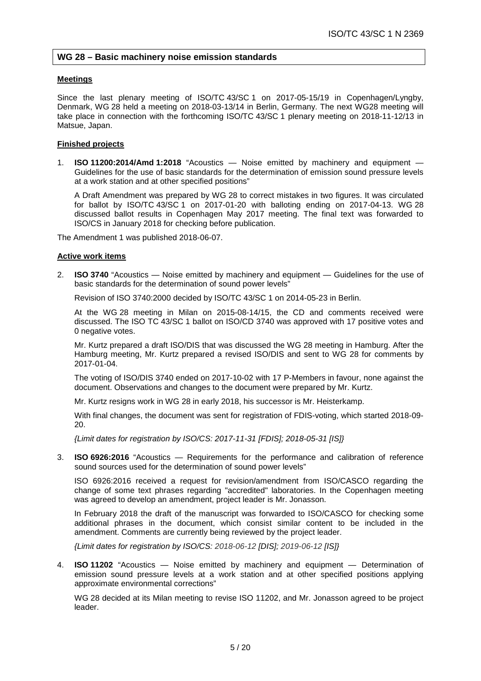# **WG 28 – Basic machinery noise emission standards**

#### **Meetings**

Since the last plenary meeting of ISO/TC 43/SC 1 on 2017-05-15/19 in Copenhagen/Lyngby, Denmark, WG 28 held a meeting on 2018-03-13/14 in Berlin, Germany. The next WG28 meeting will take place in connection with the forthcoming ISO/TC 43/SC 1 plenary meeting on 2018-11-12/13 in Matsue, Japan.

#### **Finished projects**

1. **ISO 11200:2014/Amd 1:2018** "Acoustics — Noise emitted by machinery and equipment — Guidelines for the use of basic standards for the determination of emission sound pressure levels at a work station and at other specified positions"

A Draft Amendment was prepared by WG 28 to correct mistakes in two figures. It was circulated for ballot by ISO/TC 43/SC 1 on 2017-01-20 with balloting ending on 2017-04-13. WG 28 discussed ballot results in Copenhagen May 2017 meeting. The final text was forwarded to ISO/CS in January 2018 for checking before publication.

The Amendment 1 was published 2018-06-07.

#### **Active work items**

2. **ISO 3740** "Acoustics — Noise emitted by machinery and equipment — Guidelines for the use of basic standards for the determination of sound power levels"

Revision of ISO 3740:2000 decided by ISO/TC 43/SC 1 on 2014-05-23 in Berlin.

At the WG 28 meeting in Milan on 2015-08-14/15, the CD and comments received were discussed. The ISO TC 43/SC 1 ballot on ISO/CD 3740 was approved with 17 positive votes and 0 negative votes.

Mr. Kurtz prepared a draft ISO/DIS that was discussed the WG 28 meeting in Hamburg. After the Hamburg meeting, Mr. Kurtz prepared a revised ISO/DIS and sent to WG 28 for comments by 2017-01-04.

The voting of ISO/DIS 3740 ended on 2017-10-02 with 17 P-Members in favour, none against the document. Observations and changes to the document were prepared by Mr. Kurtz.

Mr. Kurtz resigns work in WG 28 in early 2018, his successor is Mr. Heisterkamp.

With final changes, the document was sent for registration of FDIS-voting, which started 2018-09- 20.

*{Limit dates for registration by ISO/CS: 2017-11-31 [FDIS]; 2018-05-31 [IS]}*

3. **ISO 6926:2016** "Acoustics — Requirements for the performance and calibration of reference sound sources used for the determination of sound power levels"

ISO 6926:2016 received a request for revision/amendment from ISO/CASCO regarding the change of some text phrases regarding "accredited" laboratories. In the Copenhagen meeting was agreed to develop an amendment, project leader is Mr. Jonasson.

In February 2018 the draft of the manuscript was forwarded to ISO/CASCO for checking some additional phrases in the document, which consist similar content to be included in the amendment. Comments are currently being reviewed by the project leader.

*{Limit dates for registration by ISO/CS: 2018-06-12 [DIS]; 2019-06-12 [IS]}*

4. **ISO 11202** "Acoustics — Noise emitted by machinery and equipment — Determination of emission sound pressure levels at a work station and at other specified positions applying approximate environmental corrections"

WG 28 decided at its Milan meeting to revise ISO 11202, and Mr. Jonasson agreed to be project leader.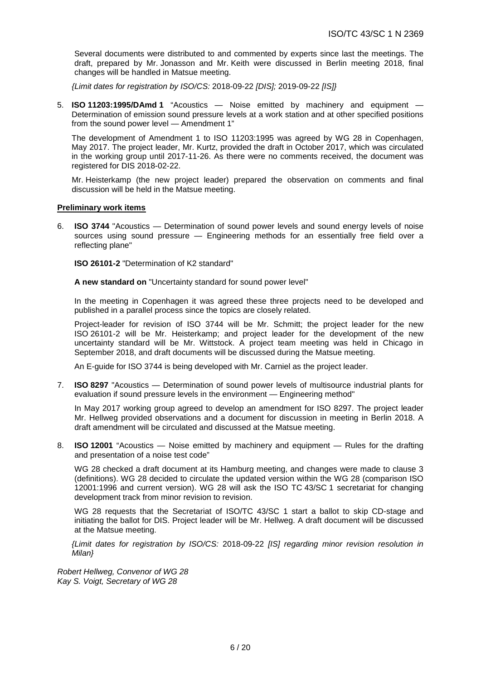Several documents were distributed to and commented by experts since last the meetings. The draft, prepared by Mr. Jonasson and Mr. Keith were discussed in Berlin meeting 2018, final changes will be handled in Matsue meeting.

*{Limit dates for registration by ISO/CS:* 2018-09-22 *[DIS];* 2019-09-22 *[IS]}*

5. **ISO 11203:1995/DAmd 1** "Acoustics — Noise emitted by machinery and equipment — Determination of emission sound pressure levels at a work station and at other specified positions from the sound power level — Amendment 1"

The development of Amendment 1 to ISO 11203:1995 was agreed by WG 28 in Copenhagen, May 2017. The project leader, Mr. Kurtz, provided the draft in October 2017, which was circulated in the working group until 2017-11-26. As there were no comments received, the document was registered for DIS 2018-02-22.

Mr. Heisterkamp (the new project leader) prepared the observation on comments and final discussion will be held in the Matsue meeting.

# **Preliminary work items**

6. **ISO 3744** "Acoustics — Determination of sound power levels and sound energy levels of noise sources using sound pressure — Engineering methods for an essentially free field over a reflecting plane"

**ISO 26101-2** "Determination of K2 standard"

**A new standard on** "Uncertainty standard for sound power level"

In the meeting in Copenhagen it was agreed these three projects need to be developed and published in a parallel process since the topics are closely related.

Project-leader for revision of ISO 3744 will be Mr. Schmitt; the project leader for the new ISO 26101-2 will be Mr. Heisterkamp; and project leader for the development of the new uncertainty standard will be Mr. Wittstock. A project team meeting was held in Chicago in September 2018, and draft documents will be discussed during the Matsue meeting.

An E-guide for ISO 3744 is being developed with Mr. Carniel as the project leader.

7. **ISO 8297** "Acoustics — Determination of sound power levels of multisource industrial plants for evaluation if sound pressure levels in the environment — Engineering method"

In May 2017 working group agreed to develop an amendment for ISO 8297. The project leader Mr. Hellweg provided observations and a document for discussion in meeting in Berlin 2018. A draft amendment will be circulated and discussed at the Matsue meeting.

8. **ISO 12001** "Acoustics — Noise emitted by machinery and equipment — Rules for the drafting and presentation of a noise test code"

WG 28 checked a draft document at its Hamburg meeting, and changes were made to clause 3 (definitions). WG 28 decided to circulate the updated version within the WG 28 (comparison ISO 12001:1996 and current version). WG 28 will ask the ISO TC 43/SC 1 secretariat for changing development track from minor revision to revision.

WG 28 requests that the Secretariat of ISO/TC 43/SC 1 start a ballot to skip CD-stage and initiating the ballot for DIS. Project leader will be Mr. Hellweg. A draft document will be discussed at the Matsue meeting.

*{Limit dates for registration by ISO/CS:* 2018-09-22 *[IS] regarding minor revision resolution in Milan}*

*Robert Hellweg, Convenor of WG 28 Kay S. Voigt, Secretary of WG 28*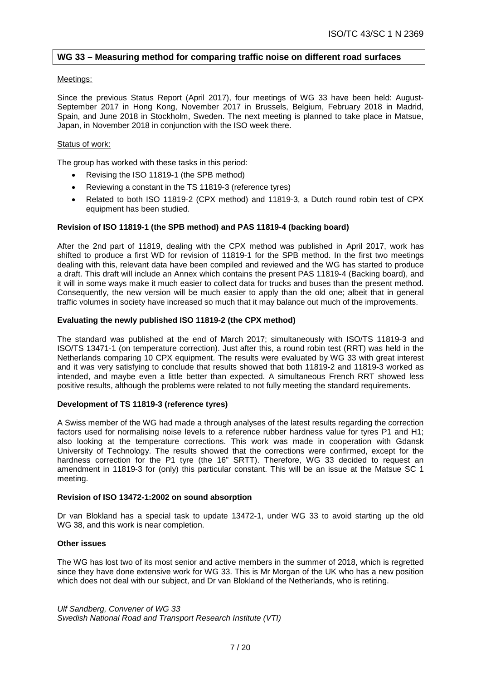# **WG 33 – Measuring method for comparing traffic noise on different road surfaces**

#### Meetings:

Since the previous Status Report (April 2017), four meetings of WG 33 have been held: August-September 2017 in Hong Kong, November 2017 in Brussels, Belgium, February 2018 in Madrid, Spain, and June 2018 in Stockholm, Sweden. The next meeting is planned to take place in Matsue, Japan, in November 2018 in conjunction with the ISO week there.

#### Status of work:

The group has worked with these tasks in this period:

- Revising the ISO 11819-1 (the SPB method)
- Reviewing a constant in the TS 11819-3 (reference tyres)
- Related to both ISO 11819-2 (CPX method) and 11819-3, a Dutch round robin test of CPX equipment has been studied.

#### **Revision of ISO 11819-1 (the SPB method) and PAS 11819-4 (backing board)**

After the 2nd part of 11819, dealing with the CPX method was published in April 2017, work has shifted to produce a first WD for revision of 11819-1 for the SPB method. In the first two meetings dealing with this, relevant data have been compiled and reviewed and the WG has started to produce a draft. This draft will include an Annex which contains the present PAS 11819-4 (Backing board), and it will in some ways make it much easier to collect data for trucks and buses than the present method. Consequently, the new version will be much easier to apply than the old one; albeit that in general traffic volumes in society have increased so much that it may balance out much of the improvements.

#### **Evaluating the newly published ISO 11819-2 (the CPX method)**

The standard was published at the end of March 2017; simultaneously with ISO/TS 11819-3 and ISO/TS 13471-1 (on temperature correction). Just after this, a round robin test (RRT) was held in the Netherlands comparing 10 CPX equipment. The results were evaluated by WG 33 with great interest and it was very satisfying to conclude that results showed that both 11819-2 and 11819-3 worked as intended, and maybe even a little better than expected. A simultaneous French RRT showed less positive results, although the problems were related to not fully meeting the standard requirements.

#### **Development of TS 11819-3 (reference tyres)**

A Swiss member of the WG had made a through analyses of the latest results regarding the correction factors used for normalising noise levels to a reference rubber hardness value for tyres P1 and H1; also looking at the temperature corrections. This work was made in cooperation with Gdansk University of Technology. The results showed that the corrections were confirmed, except for the hardness correction for the P1 tyre (the 16" SRTT). Therefore, WG 33 decided to request an amendment in 11819-3 for (only) this particular constant. This will be an issue at the Matsue SC 1 meeting.

#### **Revision of ISO 13472-1:2002 on sound absorption**

Dr van Blokland has a special task to update 13472-1, under WG 33 to avoid starting up the old WG 38, and this work is near completion.

#### **Other issues**

The WG has lost two of its most senior and active members in the summer of 2018, which is regretted since they have done extensive work for WG 33. This is Mr Morgan of the UK who has a new position which does not deal with our subject, and Dr van Blokland of the Netherlands, who is retiring.

*Ulf Sandberg, Convener of WG 33 Swedish National Road and Transport Research Institute (VTI)*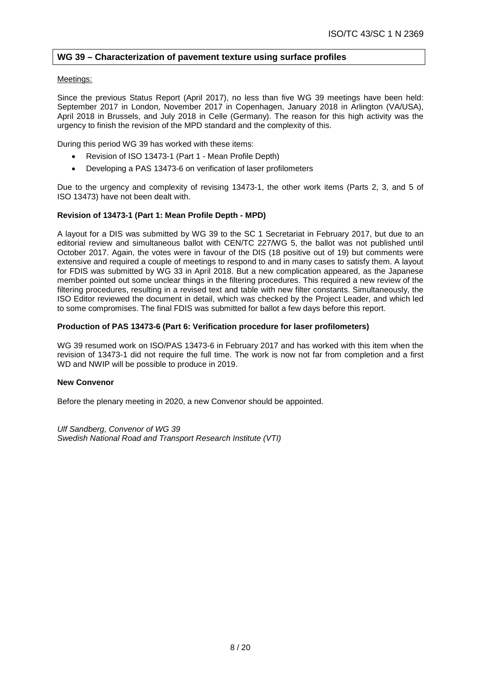# **WG 39 – Characterization of pavement texture using surface profiles**

#### Meetings:

Since the previous Status Report (April 2017), no less than five WG 39 meetings have been held: September 2017 in London, November 2017 in Copenhagen, January 2018 in Arlington (VA/USA), April 2018 in Brussels, and July 2018 in Celle (Germany). The reason for this high activity was the urgency to finish the revision of the MPD standard and the complexity of this.

During this period WG 39 has worked with these items:

- Revision of ISO 13473-1 (Part 1 Mean Profile Depth)
- Developing a PAS 13473-6 on verification of laser profilometers

Due to the urgency and complexity of revising 13473-1, the other work items (Parts 2, 3, and 5 of ISO 13473) have not been dealt with.

#### **Revision of 13473-1 (Part 1: Mean Profile Depth - MPD)**

A layout for a DIS was submitted by WG 39 to the SC 1 Secretariat in February 2017, but due to an editorial review and simultaneous ballot with CEN/TC 227/WG 5, the ballot was not published until October 2017. Again, the votes were in favour of the DIS (18 positive out of 19) but comments were extensive and required a couple of meetings to respond to and in many cases to satisfy them. A layout for FDIS was submitted by WG 33 in April 2018. But a new complication appeared, as the Japanese member pointed out some unclear things in the filtering procedures. This required a new review of the filtering procedures, resulting in a revised text and table with new filter constants. Simultaneously, the ISO Editor reviewed the document in detail, which was checked by the Project Leader, and which led to some compromises. The final FDIS was submitted for ballot a few days before this report.

#### **Production of PAS 13473-6 (Part 6: Verification procedure for laser profilometers)**

WG 39 resumed work on ISO/PAS 13473-6 in February 2017 and has worked with this item when the revision of 13473-1 did not require the full time. The work is now not far from completion and a first WD and NWIP will be possible to produce in 2019.

## **New Convenor**

Before the plenary meeting in 2020, a new Convenor should be appointed.

*Ulf Sandberg, Convenor of WG 39 Swedish National Road and Transport Research Institute (VTI)*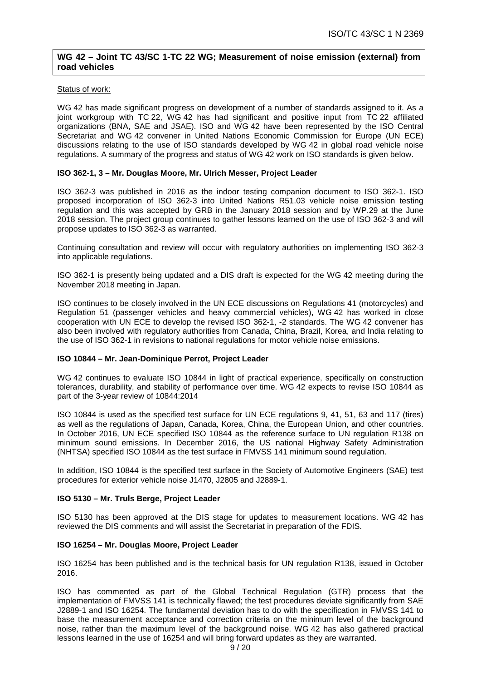# **WG 42 – Joint TC 43/SC 1-TC 22 WG; Measurement of noise emission (external) from road vehicles**

#### Status of work:

WG 42 has made significant progress on development of a number of standards assigned to it. As a joint workgroup with TC 22, WG 42 has had significant and positive input from TC 22 affiliated organizations (BNA, SAE and JSAE). ISO and WG 42 have been represented by the ISO Central Secretariat and WG 42 convener in United Nations Economic Commission for Europe (UN ECE) discussions relating to the use of ISO standards developed by WG 42 in global road vehicle noise regulations. A summary of the progress and status of WG 42 work on ISO standards is given below.

#### **ISO 362-1, 3 – Mr. Douglas Moore, Mr. Ulrich Messer, Project Leader**

ISO 362-3 was published in 2016 as the indoor testing companion document to ISO 362-1. ISO proposed incorporation of ISO 362-3 into United Nations R51.03 vehicle noise emission testing regulation and this was accepted by GRB in the January 2018 session and by WP.29 at the June 2018 session. The project group continues to gather lessons learned on the use of ISO 362-3 and will propose updates to ISO 362-3 as warranted.

Continuing consultation and review will occur with regulatory authorities on implementing ISO 362-3 into applicable regulations.

ISO 362-1 is presently being updated and a DIS draft is expected for the WG 42 meeting during the November 2018 meeting in Japan.

ISO continues to be closely involved in the UN ECE discussions on Regulations 41 (motorcycles) and Regulation 51 (passenger vehicles and heavy commercial vehicles), WG 42 has worked in close cooperation with UN ECE to develop the revised ISO 362-1, -2 standards. The WG 42 convener has also been involved with regulatory authorities from Canada, China, Brazil, Korea, and India relating to the use of ISO 362-1 in revisions to national regulations for motor vehicle noise emissions.

#### **ISO 10844 – Mr. Jean-Dominique Perrot, Project Leader**

WG 42 continues to evaluate ISO 10844 in light of practical experience, specifically on construction tolerances, durability, and stability of performance over time. WG 42 expects to revise ISO 10844 as part of the 3-year review of 10844:2014

ISO 10844 is used as the specified test surface for UN ECE regulations 9, 41, 51, 63 and 117 (tires) as well as the regulations of Japan, Canada, Korea, China, the European Union, and other countries. In October 2016, UN ECE specified ISO 10844 as the reference surface to UN regulation R138 on minimum sound emissions. In December 2016, the US national Highway Safety Administration (NHTSA) specified ISO 10844 as the test surface in FMVSS 141 minimum sound regulation.

In addition, ISO 10844 is the specified test surface in the Society of Automotive Engineers (SAE) test procedures for exterior vehicle noise J1470, J2805 and J2889-1.

#### **ISO 5130 – Mr. Truls Berge, Project Leader**

ISO 5130 has been approved at the DIS stage for updates to measurement locations. WG 42 has reviewed the DIS comments and will assist the Secretariat in preparation of the FDIS.

#### **ISO 16254 – Mr. Douglas Moore, Project Leader**

ISO 16254 has been published and is the technical basis for UN regulation R138, issued in October 2016.

ISO has commented as part of the Global Technical Regulation (GTR) process that the implementation of FMVSS 141 is technically flawed; the test procedures deviate significantly from SAE J2889-1 and ISO 16254. The fundamental deviation has to do with the specification in FMVSS 141 to base the measurement acceptance and correction criteria on the minimum level of the background noise, rather than the maximum level of the background noise. WG 42 has also gathered practical lessons learned in the use of 16254 and will bring forward updates as they are warranted.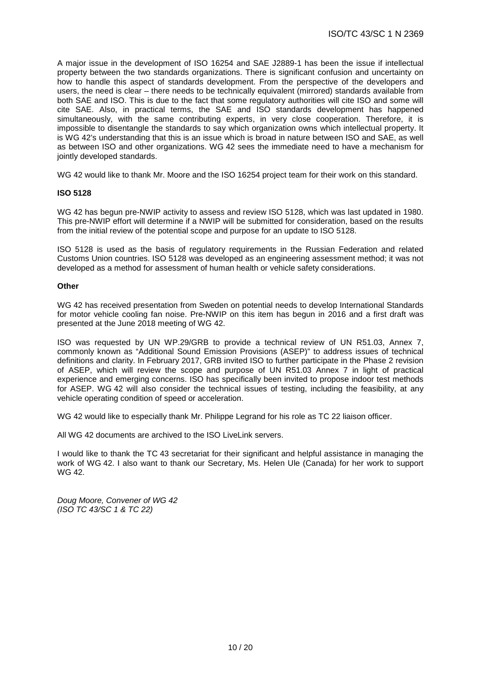A major issue in the development of ISO 16254 and SAE J2889-1 has been the issue if intellectual property between the two standards organizations. There is significant confusion and uncertainty on how to handle this aspect of standards development. From the perspective of the developers and users, the need is clear – there needs to be technically equivalent (mirrored) standards available from both SAE and ISO. This is due to the fact that some regulatory authorities will cite ISO and some will cite SAE. Also, in practical terms, the SAE and ISO standards development has happened simultaneously, with the same contributing experts, in very close cooperation. Therefore, it is impossible to disentangle the standards to say which organization owns which intellectual property. It is WG 42's understanding that this is an issue which is broad in nature between ISO and SAE, as well as between ISO and other organizations. WG 42 sees the immediate need to have a mechanism for jointly developed standards.

WG 42 would like to thank Mr. Moore and the ISO 16254 project team for their work on this standard.

#### **ISO 5128**

WG 42 has begun pre-NWIP activity to assess and review ISO 5128, which was last updated in 1980. This pre-NWIP effort will determine if a NWIP will be submitted for consideration, based on the results from the initial review of the potential scope and purpose for an update to ISO 5128.

ISO 5128 is used as the basis of regulatory requirements in the Russian Federation and related Customs Union countries. ISO 5128 was developed as an engineering assessment method; it was not developed as a method for assessment of human health or vehicle safety considerations.

#### **Other**

WG 42 has received presentation from Sweden on potential needs to develop International Standards for motor vehicle cooling fan noise. Pre-NWIP on this item has begun in 2016 and a first draft was presented at the June 2018 meeting of WG 42.

ISO was requested by UN WP.29/GRB to provide a technical review of UN R51.03, Annex 7, commonly known as "Additional Sound Emission Provisions (ASEP)" to address issues of technical definitions and clarity. In February 2017, GRB invited ISO to further participate in the Phase 2 revision of ASEP, which will review the scope and purpose of UN R51.03 Annex 7 in light of practical experience and emerging concerns. ISO has specifically been invited to propose indoor test methods for ASEP. WG 42 will also consider the technical issues of testing, including the feasibility, at any vehicle operating condition of speed or acceleration.

WG 42 would like to especially thank Mr. Philippe Legrand for his role as TC 22 liaison officer.

All WG 42 documents are archived to the ISO LiveLink servers.

I would like to thank the TC 43 secretariat for their significant and helpful assistance in managing the work of WG 42. I also want to thank our Secretary, Ms. Helen Ule (Canada) for her work to support WG 42.

*Doug Moore, Convener of WG 42 (ISO TC 43/SC 1 & TC 22)*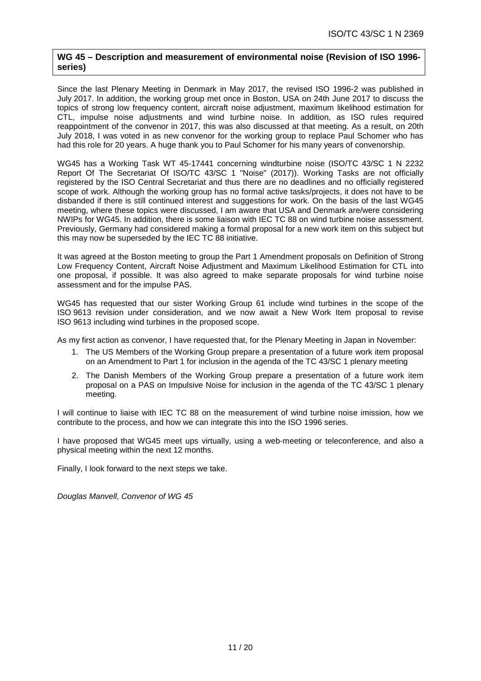## **WG 45 – Description and measurement of environmental noise (Revision of ISO 1996 series)**

Since the last Plenary Meeting in Denmark in May 2017, the revised ISO 1996-2 was published in July 2017. In addition, the working group met once in Boston, USA on 24th June 2017 to discuss the topics of strong low frequency content, aircraft noise adjustment, maximum likelihood estimation for CTL, impulse noise adjustments and wind turbine noise. In addition, as ISO rules required reappointment of the convenor in 2017, this was also discussed at that meeting. As a result, on 20th July 2018, I was voted in as new convenor for the working group to replace Paul Schomer who has had this role for 20 years. A huge thank you to Paul Schomer for his many years of convenorship.

WG45 has a Working Task WT 45-17441 concerning windturbine noise (ISO/TC 43/SC 1 N 2232 Report Of The Secretariat Of ISO/TC 43/SC 1 "Noise" (2017)). Working Tasks are not officially registered by the ISO Central Secretariat and thus there are no deadlines and no officially registered scope of work. Although the working group has no formal active tasks/projects, it does not have to be disbanded if there is still continued interest and suggestions for work. On the basis of the last WG45 meeting, where these topics were discussed, I am aware that USA and Denmark are/were considering NWIPs for WG45. In addition, there is some liaison with IEC TC 88 on wind turbine noise assessment. Previously, Germany had considered making a formal proposal for a new work item on this subject but this may now be superseded by the IEC TC 88 initiative.

It was agreed at the Boston meeting to group the Part 1 Amendment proposals on Definition of Strong Low Frequency Content, Aircraft Noise Adjustment and Maximum Likelihood Estimation for CTL into one proposal, if possible. It was also agreed to make separate proposals for wind turbine noise assessment and for the impulse PAS.

WG45 has requested that our sister Working Group 61 include wind turbines in the scope of the ISO 9613 revision under consideration, and we now await a New Work Item proposal to revise ISO 9613 including wind turbines in the proposed scope.

As my first action as convenor, I have requested that, for the Plenary Meeting in Japan in November:

- 1. The US Members of the Working Group prepare a presentation of a future work item proposal on an Amendment to Part 1 for inclusion in the agenda of the TC 43/SC 1 plenary meeting
- 2. The Danish Members of the Working Group prepare a presentation of a future work item proposal on a PAS on Impulsive Noise for inclusion in the agenda of the TC 43/SC 1 plenary meeting.

I will continue to liaise with IEC TC 88 on the measurement of wind turbine noise imission, how we contribute to the process, and how we can integrate this into the ISO 1996 series.

I have proposed that WG45 meet ups virtually, using a web-meeting or teleconference, and also a physical meeting within the next 12 months.

Finally, I look forward to the next steps we take.

*Douglas Manvell, Convenor of WG 45*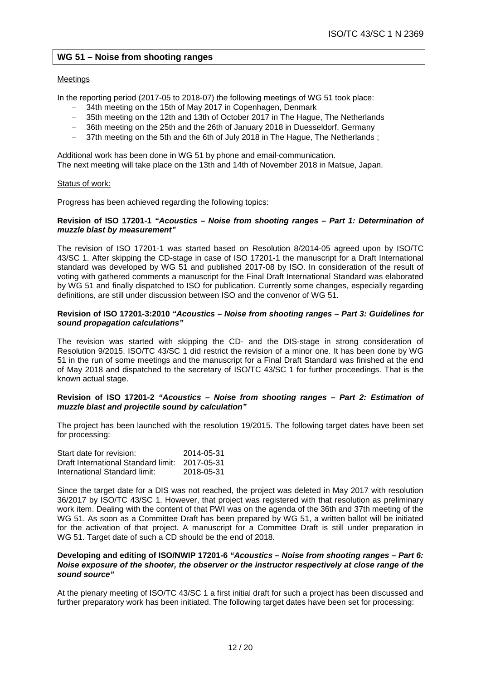# **WG 51 – Noise from shooting ranges**

#### Meetings

In the reporting period (2017-05 to 2018-07) the following meetings of WG 51 took place:

- − 34th meeting on the 15th of May 2017 in Copenhagen, Denmark
- − 35th meeting on the 12th and 13th of October 2017 in The Hague, The Netherlands
- − 36th meeting on the 25th and the 26th of January 2018 in Duesseldorf, Germany
- − 37th meeting on the 5th and the 6th of July 2018 in The Hague, The Netherlands ;

Additional work has been done in WG 51 by phone and email-communication. The next meeting will take place on the 13th and 14th of November 2018 in Matsue, Japan.

#### Status of work:

Progress has been achieved regarding the following topics:

#### **Revision of ISO 17201-1** *"Acoustics – Noise from shooting ranges – Part 1: Determination of muzzle blast by measurement"*

The revision of ISO 17201-1 was started based on Resolution 8/2014-05 agreed upon by ISO/TC 43/SC 1. After skipping the CD-stage in case of ISO 17201-1 the manuscript for a Draft International standard was developed by WG 51 and published 2017-08 by ISO. In consideration of the result of voting with gathered comments a manuscript for the Final Draft International Standard was elaborated by WG 51 and finally dispatched to ISO for publication. Currently some changes, especially regarding definitions, are still under discussion between ISO and the convenor of WG 51.

#### **Revision of ISO 17201-3:2010** *"Acoustics – Noise from shooting ranges – Part 3: Guidelines for sound propagation calculations"*

The revision was started with skipping the CD- and the DIS-stage in strong consideration of Resolution 9/2015. ISO/TC 43/SC 1 did restrict the revision of a minor one. It has been done by WG 51 in the run of some meetings and the manuscript for a Final Draft Standard was finished at the end of May 2018 and dispatched to the secretary of ISO/TC 43/SC 1 for further proceedings. That is the known actual stage.

#### **Revision of ISO 17201-2** *"Acoustics – Noise from shooting ranges – Part 2: Estimation of muzzle blast and projectile sound by calculation"*

The project has been launched with the resolution 19/2015. The following target dates have been set for processing:

| Start date for revision:                       | 2014-05-31 |
|------------------------------------------------|------------|
| Draft International Standard limit: 2017-05-31 |            |
| International Standard limit:                  | 2018-05-31 |

Since the target date for a DIS was not reached, the project was deleted in May 2017 with resolution 36/2017 by ISO/TC 43/SC 1. However, that project was registered with that resolution as preliminary work item. Dealing with the content of that PWI was on the agenda of the 36th and 37th meeting of the WG 51. As soon as a Committee Draft has been prepared by WG 51, a written ballot will be initiated for the activation of that project. A manuscript for a Committee Draft is still under preparation in WG 51. Target date of such a CD should be the end of 2018.

#### **Developing and editing of ISO/NWIP 17201-6** *"Acoustics – Noise from shooting ranges – Part 6: Noise exposure of the shooter, the observer or the instructor respectively at close range of the sound source"*

At the plenary meeting of ISO/TC 43/SC 1 a first initial draft for such a project has been discussed and further preparatory work has been initiated. The following target dates have been set for processing: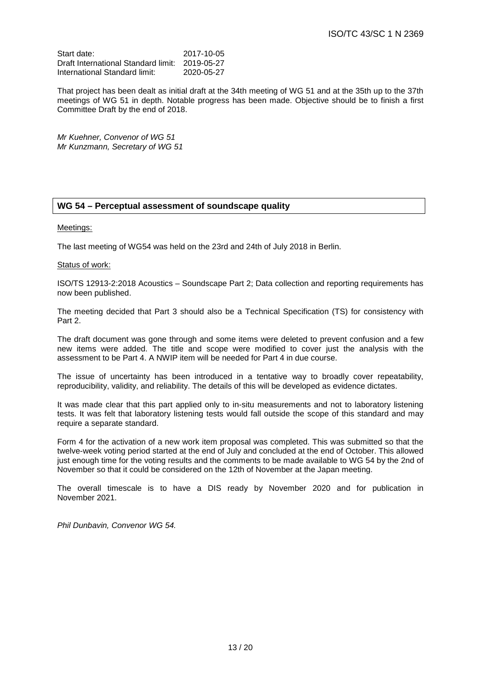| Start date:                                    | 2017-10-05 |
|------------------------------------------------|------------|
| Draft International Standard limit: 2019-05-27 |            |
| International Standard limit:                  | 2020-05-27 |

That project has been dealt as initial draft at the 34th meeting of WG 51 and at the 35th up to the 37th meetings of WG 51 in depth. Notable progress has been made. Objective should be to finish a first Committee Draft by the end of 2018.

*Mr Kuehner, Convenor of WG 51 Mr Kunzmann, Secretary of WG 51*

# **WG 54 – Perceptual assessment of soundscape quality**

#### Meetings:

The last meeting of WG54 was held on the 23rd and 24th of July 2018 in Berlin.

#### Status of work:

ISO/TS 12913-2:2018 Acoustics – Soundscape Part 2; Data collection and reporting requirements has now been published.

The meeting decided that Part 3 should also be a Technical Specification (TS) for consistency with Part 2.

The draft document was gone through and some items were deleted to prevent confusion and a few new items were added. The title and scope were modified to cover just the analysis with the assessment to be Part 4. A NWIP item will be needed for Part 4 in due course.

The issue of uncertainty has been introduced in a tentative way to broadly cover repeatability, reproducibility, validity, and reliability. The details of this will be developed as evidence dictates.

It was made clear that this part applied only to in-situ measurements and not to laboratory listening tests. It was felt that laboratory listening tests would fall outside the scope of this standard and may require a separate standard.

Form 4 for the activation of a new work item proposal was completed. This was submitted so that the twelve-week voting period started at the end of July and concluded at the end of October. This allowed just enough time for the voting results and the comments to be made available to WG 54 by the 2nd of November so that it could be considered on the 12th of November at the Japan meeting.

The overall timescale is to have a DIS ready by November 2020 and for publication in November 2021.

*Phil Dunbavin, Convenor WG 54.*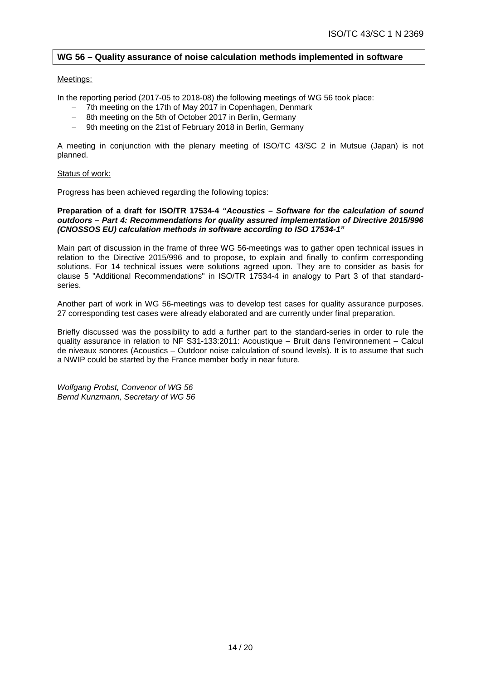# **WG 56 – Quality assurance of noise calculation methods implemented in software**

#### Meetings:

In the reporting period (2017-05 to 2018-08) the following meetings of WG 56 took place:

- − 7th meeting on the 17th of May 2017 in Copenhagen, Denmark
- − 8th meeting on the 5th of October 2017 in Berlin, Germany
- − 9th meeting on the 21st of February 2018 in Berlin, Germany

A meeting in conjunction with the plenary meeting of ISO/TC 43/SC 2 in Mutsue (Japan) is not planned.

#### Status of work:

Progress has been achieved regarding the following topics:

#### **Preparation of a draft for ISO/TR 17534-4** *"Acoustics – Software for the calculation of sound outdoors – Part 4: Recommendations for quality assured implementation of Directive 2015/996 (CNOSSOS EU) calculation methods in software according to ISO 17534-1"*

Main part of discussion in the frame of three WG 56-meetings was to gather open technical issues in relation to the Directive 2015/996 and to propose, to explain and finally to confirm corresponding solutions. For 14 technical issues were solutions agreed upon. They are to consider as basis for clause 5 "Additional Recommendations" in ISO/TR 17534-4 in analogy to Part 3 of that standardseries.

Another part of work in WG 56-meetings was to develop test cases for quality assurance purposes. 27 corresponding test cases were already elaborated and are currently under final preparation.

Briefly discussed was the possibility to add a further part to the standard-series in order to rule the quality assurance in relation to NF S31-133:2011: Acoustique – Bruit dans l'environnement – Calcul de niveaux sonores (Acoustics – Outdoor noise calculation of sound levels). It is to assume that such a NWIP could be started by the France member body in near future.

*Wolfgang Probst, Convenor of WG 56 Bernd Kunzmann, Secretary of WG 56*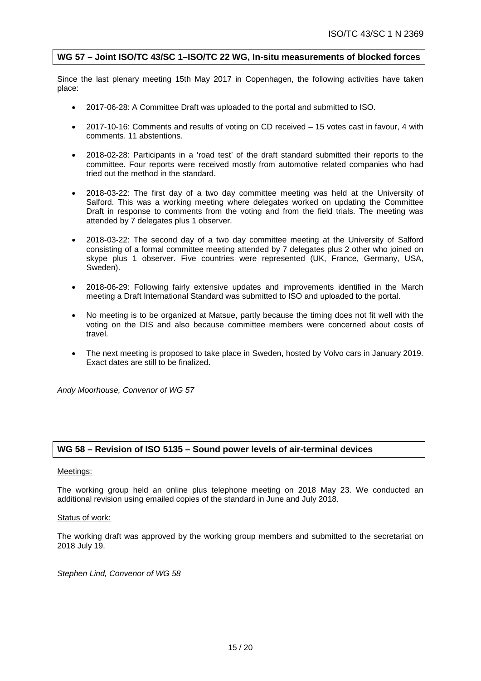# **WG 57 – Joint ISO/TC 43/SC 1–ISO/TC 22 WG, In-situ measurements of blocked forces**

Since the last plenary meeting 15th May 2017 in Copenhagen, the following activities have taken place:

- 2017-06-28: A Committee Draft was uploaded to the portal and submitted to ISO.
- 2017-10-16: Comments and results of voting on CD received 15 votes cast in favour, 4 with comments. 11 abstentions.
- 2018-02-28: Participants in a 'road test' of the draft standard submitted their reports to the committee. Four reports were received mostly from automotive related companies who had tried out the method in the standard.
- 2018-03-22: The first day of a two day committee meeting was held at the University of Salford. This was a working meeting where delegates worked on updating the Committee Draft in response to comments from the voting and from the field trials. The meeting was attended by 7 delegates plus 1 observer.
- 2018-03-22: The second day of a two day committee meeting at the University of Salford consisting of a formal committee meeting attended by 7 delegates plus 2 other who joined on skype plus 1 observer. Five countries were represented (UK, France, Germany, USA, Sweden).
- 2018-06-29: Following fairly extensive updates and improvements identified in the March meeting a Draft International Standard was submitted to ISO and uploaded to the portal.
- No meeting is to be organized at Matsue, partly because the timing does not fit well with the voting on the DIS and also because committee members were concerned about costs of travel.
- The next meeting is proposed to take place in Sweden, hosted by Volvo cars in January 2019. Exact dates are still to be finalized.

*Andy Moorhouse, Convenor of WG 57*

## **WG 58 – Revision of ISO 5135 – Sound power levels of air-terminal devices**

## Meetings:

The working group held an online plus telephone meeting on 2018 May 23. We conducted an additional revision using emailed copies of the standard in June and July 2018.

#### Status of work:

The working draft was approved by the working group members and submitted to the secretariat on 2018 July 19.

*Stephen Lind, Convenor of WG 58*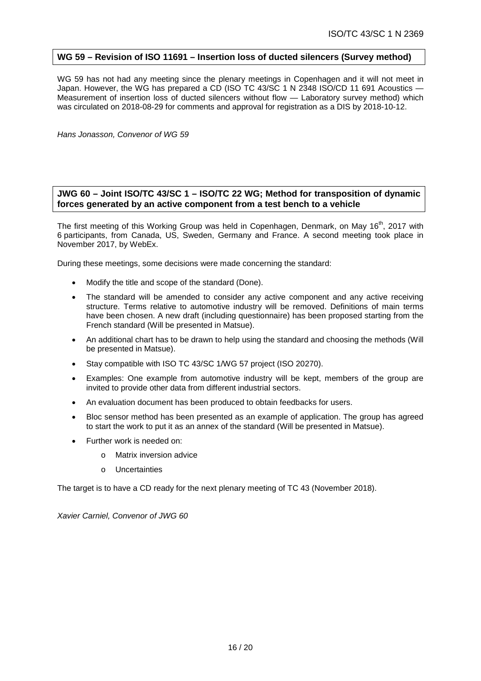# **WG 59 – Revision of ISO 11691 – Insertion loss of ducted silencers (Survey method)**

WG 59 has not had any meeting since the plenary meetings in Copenhagen and it will not meet in Japan. However, the WG has prepared a CD (ISO TC 43/SC 1 N 2348 ISO/CD 11 691 Acoustics — Measurement of insertion loss of ducted silencers without flow — Laboratory survey method) which was circulated on 2018-08-29 for comments and approval for registration as a DIS by 2018-10-12.

*Hans Jonasson, Convenor of WG 59*

# **JWG 60 – Joint ISO/TC 43/SC 1 – ISO/TC 22 WG; Method for transposition of dynamic forces generated by an active component from a test bench to a vehicle**

The first meeting of this Working Group was held in Copenhagen, Denmark, on May 16<sup>th</sup>, 2017 with 6 participants, from Canada, US, Sweden, Germany and France. A second meeting took place in November 2017, by WebEx.

During these meetings, some decisions were made concerning the standard:

- Modify the title and scope of the standard (Done).
- The standard will be amended to consider any active component and any active receiving structure. Terms relative to automotive industry will be removed. Definitions of main terms have been chosen. A new draft (including questionnaire) has been proposed starting from the French standard (Will be presented in Matsue).
- An additional chart has to be drawn to help using the standard and choosing the methods (Will be presented in Matsue).
- Stay compatible with ISO TC 43/SC 1/WG 57 project (ISO 20270).
- Examples: One example from automotive industry will be kept, members of the group are invited to provide other data from different industrial sectors.
- An evaluation document has been produced to obtain feedbacks for users.
- Bloc sensor method has been presented as an example of application. The group has agreed to start the work to put it as an annex of the standard (Will be presented in Matsue).
- Further work is needed on:
	- o Matrix inversion advice
	- o Uncertainties

The target is to have a CD ready for the next plenary meeting of TC 43 (November 2018).

*Xavier Carniel, Convenor of JWG 60*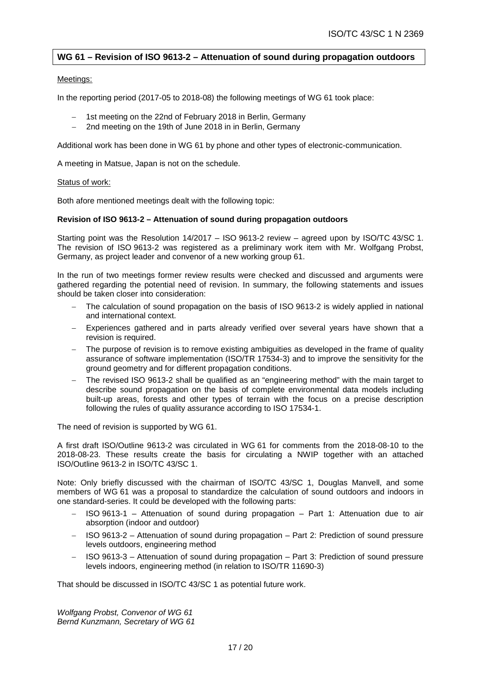# **WG 61 – Revision of ISO 9613-2 – Attenuation of sound during propagation outdoors**

#### Meetings:

In the reporting period (2017-05 to 2018-08) the following meetings of WG 61 took place:

- 1st meeting on the 22nd of February 2018 in Berlin, Germany
- 2nd meeting on the 19th of June 2018 in in Berlin, Germany

Additional work has been done in WG 61 by phone and other types of electronic-communication.

A meeting in Matsue, Japan is not on the schedule.

#### Status of work:

Both afore mentioned meetings dealt with the following topic:

#### **Revision of ISO 9613-2 – Attenuation of sound during propagation outdoors**

Starting point was the Resolution 14/2017 – ISO 9613-2 review – agreed upon by ISO/TC 43/SC 1. The revision of ISO 9613-2 was registered as a preliminary work item with Mr. Wolfgang Probst, Germany, as project leader and convenor of a new working group 61.

In the run of two meetings former review results were checked and discussed and arguments were gathered regarding the potential need of revision. In summary, the following statements and issues should be taken closer into consideration:

- The calculation of sound propagation on the basis of ISO 9613-2 is widely applied in national and international context.
- Experiences gathered and in parts already verified over several years have shown that a revision is required.
- − The purpose of revision is to remove existing ambiguities as developed in the frame of quality assurance of software implementation (ISO/TR 17534-3) and to improve the sensitivity for the ground geometry and for different propagation conditions.
- − The revised ISO 9613-2 shall be qualified as an "engineering method" with the main target to describe sound propagation on the basis of complete environmental data models including built-up areas, forests and other types of terrain with the focus on a precise description following the rules of quality assurance according to ISO 17534-1.

The need of revision is supported by WG 61.

A first draft ISO/Outline 9613-2 was circulated in WG 61 for comments from the 2018-08-10 to the 2018-08-23. These results create the basis for circulating a NWIP together with an attached ISO/Outline 9613-2 in ISO/TC 43/SC 1.

Note: Only briefly discussed with the chairman of ISO/TC 43/SC 1, Douglas Manvell, and some members of WG 61 was a proposal to standardize the calculation of sound outdoors and indoors in one standard-series. It could be developed with the following parts:

- − ISO 9613-1 Attenuation of sound during propagation Part 1: Attenuation due to air absorption (indoor and outdoor)
- − ISO 9613-2 Attenuation of sound during propagation Part 2: Prediction of sound pressure levels outdoors, engineering method
- − ISO 9613-3 Attenuation of sound during propagation Part 3: Prediction of sound pressure levels indoors, engineering method (in relation to ISO/TR 11690-3)

That should be discussed in ISO/TC 43/SC 1 as potential future work.

*Wolfgang Probst, Convenor of WG 61 Bernd Kunzmann, Secretary of WG 61*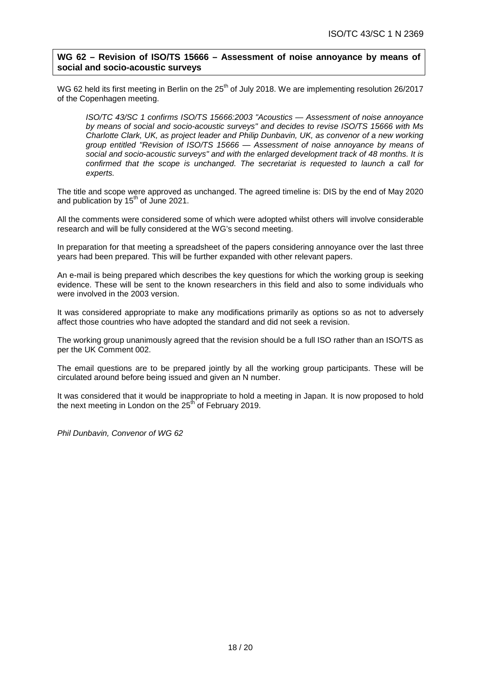# **WG 62 – Revision of ISO/TS 15666 – Assessment of noise annoyance by means of social and socio-acoustic surveys**

WG 62 held its first meeting in Berlin on the 25<sup>th</sup> of July 2018. We are implementing resolution 26/2017 of the Copenhagen meeting.

*ISO/TC 43/SC 1 confirms ISO/TS 15666:2003 "Acoustics — Assessment of noise annoyance by means of social and socio-acoustic surveys" and decides to revise ISO/TS 15666 with Ms Charlotte Clark, UK, as project leader and Philip Dunbavin, UK, as convenor of a new working group entitled "Revision of ISO/TS 15666 — Assessment of noise annoyance by means of social and socio-acoustic surveys" and with the enlarged development track of 48 months. It is confirmed that the scope is unchanged. The secretariat is requested to launch a call for experts.*

The title and scope were approved as unchanged. The agreed timeline is: DIS by the end of May 2020 and publication by  $15<sup>th</sup>$  of June 2021.

All the comments were considered some of which were adopted whilst others will involve considerable research and will be fully considered at the WG's second meeting.

In preparation for that meeting a spreadsheet of the papers considering annoyance over the last three years had been prepared. This will be further expanded with other relevant papers.

An e-mail is being prepared which describes the key questions for which the working group is seeking evidence. These will be sent to the known researchers in this field and also to some individuals who were involved in the 2003 version.

It was considered appropriate to make any modifications primarily as options so as not to adversely affect those countries who have adopted the standard and did not seek a revision.

The working group unanimously agreed that the revision should be a full ISO rather than an ISO/TS as per the UK Comment 002.

The email questions are to be prepared jointly by all the working group participants. These will be circulated around before being issued and given an N number.

It was considered that it would be inappropriate to hold a meeting in Japan. It is now proposed to hold the next meeting in London on the  $25<sup>th</sup>$  of February 2019.

*Phil Dunbavin, Convenor of WG 62*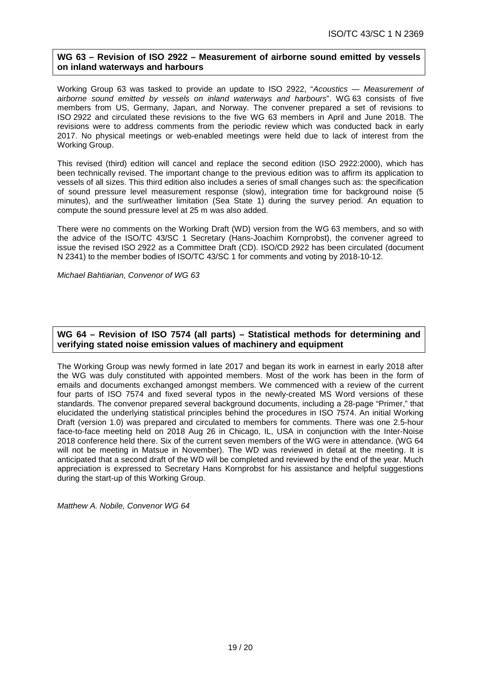# **WG 63 – Revision of ISO 2922 – Measurement of airborne sound emitted by vessels on inland waterways and harbours**

Working Group 63 was tasked to provide an update to ISO 2922, "*Acoustics — Measurement of airborne sound emitted by vessels on inland waterways and harbours*". WG 63 consists of five members from US, Germany, Japan, and Norway. The convener prepared a set of revisions to ISO 2922 and circulated these revisions to the five WG 63 members in April and June 2018. The revisions were to address comments from the periodic review which was conducted back in early 2017. No physical meetings or web-enabled meetings were held due to lack of interest from the Working Group.

This revised (third) edition will cancel and replace the second edition (ISO 2922:2000), which has been technically revised. The important change to the previous edition was to affirm its application to vessels of all sizes. This third edition also includes a series of small changes such as: the specification of sound pressure level measurement response (slow), integration time for background noise (5 minutes), and the surf/weather limitation (Sea State 1) during the survey period. An equation to compute the sound pressure level at 25 m was also added.

There were no comments on the Working Draft (WD) version from the WG 63 members, and so with the advice of the ISO/TC 43/SC 1 Secretary (Hans-Joachim Kornprobst), the convener agreed to issue the revised ISO 2922 as a Committee Draft (CD). ISO/CD 2922 has been circulated (document N 2341) to the member bodies of ISO/TC 43/SC 1 for comments and voting by 2018-10-12.

*Michael Bahtiarian, Convenor of WG 63*

# **WG 64 – Revision of ISO 7574 (all parts) – Statistical methods for determining and verifying stated noise emission values of machinery and equipment**

The Working Group was newly formed in late 2017 and began its work in earnest in early 2018 after the WG was duly constituted with appointed members. Most of the work has been in the form of emails and documents exchanged amongst members. We commenced with a review of the current four parts of ISO 7574 and fixed several typos in the newly-created MS Word versions of these standards. The convenor prepared several background documents, including a 28-page "Primer," that elucidated the underlying statistical principles behind the procedures in ISO 7574. An initial Working Draft (version 1.0) was prepared and circulated to members for comments. There was one 2.5-hour face-to-face meeting held on 2018 Aug 26 in Chicago, IL, USA in conjunction with the Inter-Noise 2018 conference held there. Six of the current seven members of the WG were in attendance. (WG 64 will not be meeting in Matsue in November). The WD was reviewed in detail at the meeting. It is anticipated that a second draft of the WD will be completed and reviewed by the end of the year. Much appreciation is expressed to Secretary Hans Kornprobst for his assistance and helpful suggestions during the start-up of this Working Group.

*Matthew A. Nobile, Convenor WG 64*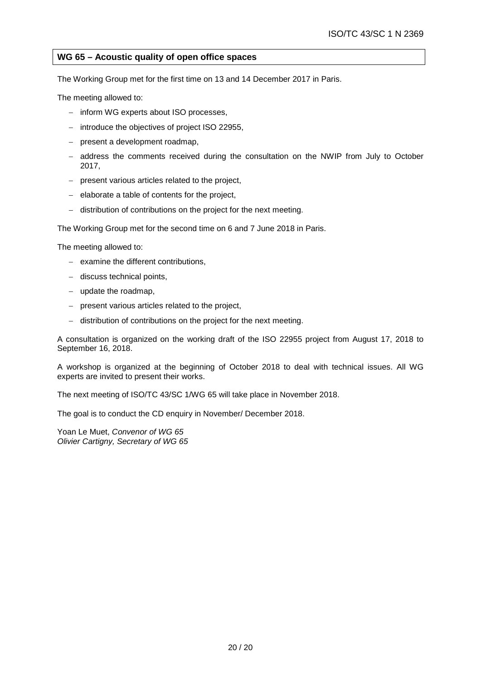# **WG 65 – Acoustic quality of open office spaces**

The Working Group met for the first time on 13 and 14 December 2017 in Paris.

The meeting allowed to:

- − inform WG experts about ISO processes,
- − introduce the objectives of project ISO 22955,
- − present a development roadmap,
- − address the comments received during the consultation on the NWIP from July to October 2017,
- − present various articles related to the project,
- − elaborate a table of contents for the project,
- − distribution of contributions on the project for the next meeting.

The Working Group met for the second time on 6 and 7 June 2018 in Paris.

The meeting allowed to:

- − examine the different contributions,
- − discuss technical points,
- − update the roadmap,
- − present various articles related to the project,
- − distribution of contributions on the project for the next meeting.

A consultation is organized on the working draft of the ISO 22955 project from August 17, 2018 to September 16, 2018.

A workshop is organized at the beginning of October 2018 to deal with technical issues. All WG experts are invited to present their works.

The next meeting of ISO/TC 43/SC 1/WG 65 will take place in November 2018.

The goal is to conduct the CD enquiry in November/ December 2018.

Yoan Le Muet, *Convenor of WG 65 Olivier Cartigny, Secretary of WG 65*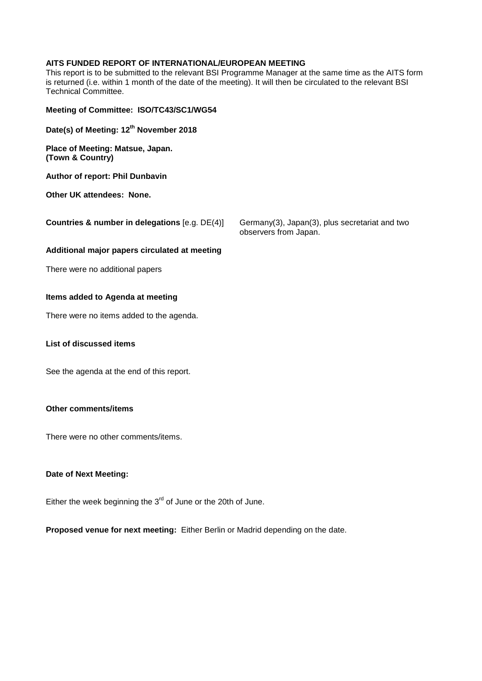# **AITS FUNDED REPORT OF INTERNATIONAL/EUROPEAN MEETING**

This report is to be submitted to the relevant BSI Programme Manager at the same time as the AITS form is returned (i.e. within 1 month of the date of the meeting). It will then be circulated to the relevant BSI Technical Committee.

| Meeting of Committee: ISO/TC43/SC1/WG54              |                                                                         |
|------------------------------------------------------|-------------------------------------------------------------------------|
| Date(s) of Meeting: 12 <sup>th</sup> November 2018   |                                                                         |
| Place of Meeting: Matsue, Japan.<br>(Town & Country) |                                                                         |
| <b>Author of report: Phil Dunbavin</b>               |                                                                         |
| Other UK attendees: None.                            |                                                                         |
| Countries & number in delegations $[e.g. DE(4)]$     | Germany(3), Japan(3), plus secretariat and two<br>observers from Japan. |
| Additional major papers circulated at meeting        |                                                                         |
| There were no additional papers                      |                                                                         |
| Items added to Agenda at meeting                     |                                                                         |

There were no items added to the agenda.

# **List of discussed items**

See the agenda at the end of this report.

#### **Other comments/items**

There were no other comments/items.

#### **Date of Next Meeting:**

Either the week beginning the  $3<sup>rd</sup>$  of June or the 20th of June.

**Proposed venue for next meeting:** Either Berlin or Madrid depending on the date.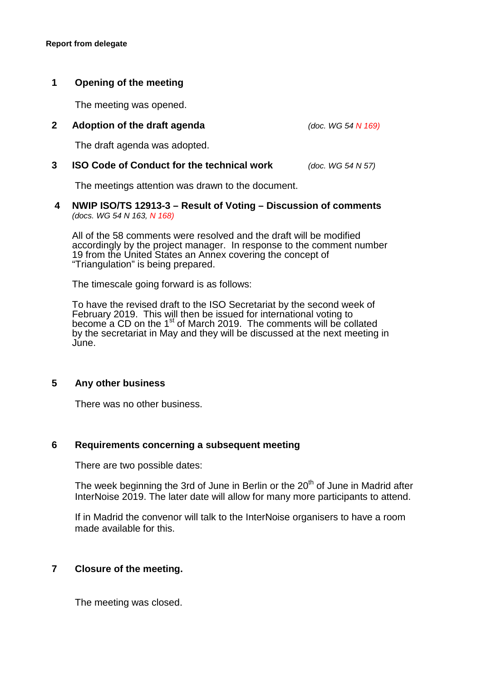# **1 Opening of the meeting**

The meeting was opened.

# **2 Adoption of the draft agenda** *(doc. WG 54 N 169)*

The draft agenda was adopted.

# **3 ISO Code of Conduct for the technical work** *(doc. WG 54 N 57)*

The meetings attention was drawn to the document.

# **4 NWIP ISO/TS 12913-3 – Result of Voting – Discussion of comments**  *(docs. WG 54 N 163, N 168)*

All of the 58 comments were resolved and the draft will be modified accordingly by the project manager. In response to the comment number 19 from the United States an Annex covering the concept of "Triangulation" is being prepared.

The timescale going forward is as follows:

To have the revised draft to the ISO Secretariat by the second week of February 2019. This will then be issued for international voting to become a CD on the  $1<sup>st</sup>$  of March 2019. The comments will be collated by the secretariat in May and they will be discussed at the next meeting in June.

# **5 Any other business**

There was no other business.

# **6 Requirements concerning a subsequent meeting**

There are two possible dates:

The week beginning the 3rd of June in Berlin or the  $20<sup>th</sup>$  of June in Madrid after InterNoise 2019. The later date will allow for many more participants to attend.

If in Madrid the convenor will talk to the InterNoise organisers to have a room made available for this.

# **7 Closure of the meeting.**

The meeting was closed.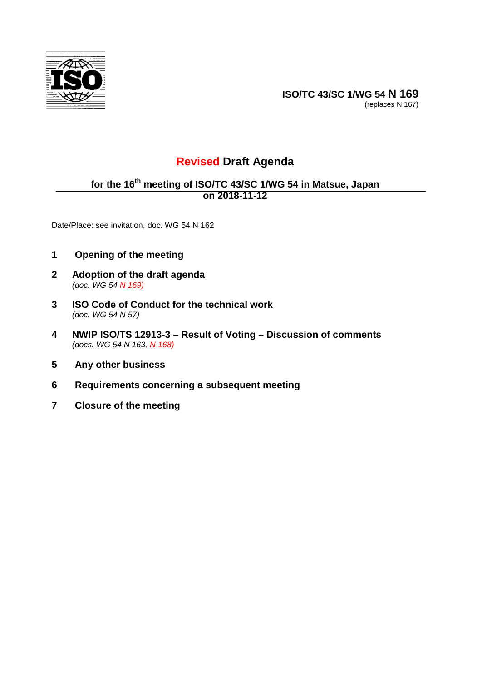

**ISO/TC 43/SC 1/WG 54 N 169** (replaces N 167)

# **Revised Draft Agenda**

# **for the 16th meeting of ISO/TC 43/SC 1/WG 54 in Matsue, Japan on 2018-11-12**

Date/Place: see invitation, doc. WG 54 N 162

- **1 Opening of the meeting**
- **2 Adoption of the draft agenda**  *(doc. WG 54 N 169)*
- **3 ISO Code of Conduct for the technical work**  *(doc. WG 54 N 57)*
- **4 NWIP ISO/TS 12913-3 Result of Voting Discussion of comments**  *(docs. WG 54 N 163, N 168)*
- **5 Any other business**
- **6 Requirements concerning a subsequent meeting**
- **7 Closure of the meeting**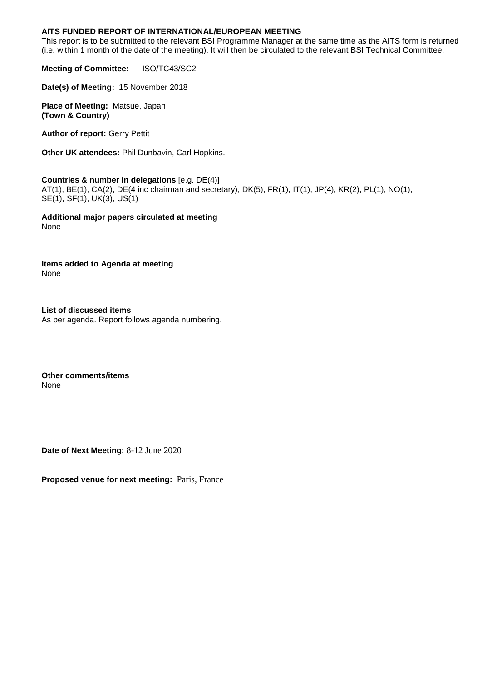# **AITS FUNDED REPORT OF INTERNATIONAL/EUROPEAN MEETING**

This report is to be submitted to the relevant BSI Programme Manager at the same time as the AITS form is returned (i.e. within 1 month of the date of the meeting). It will then be circulated to the relevant BSI Technical Committee.

**Meeting of Committee:** ISO/TC43/SC2

**Date(s) of Meeting:** 15 November 2018

**Place of Meeting:** Matsue, Japan **(Town & Country)** 

**Author of report:** Gerry Pettit

**Other UK attendees:** Phil Dunbavin, Carl Hopkins.

**Countries & number in delegations** [e.g. DE(4)] AT(1), BE(1), CA(2), DE(4 inc chairman and secretary), DK(5), FR(1), IT(1), JP(4), KR(2), PL(1), NO(1), SE(1), SF(1), UK(3), US(1)

**Additional major papers circulated at meeting** None

**Items added to Agenda at meeting** None

**List of discussed items** As per agenda. Report follows agenda numbering.

**Other comments/items** None

**Date of Next Meeting:** 8-12 June 2020

**Proposed venue for next meeting:** Paris, France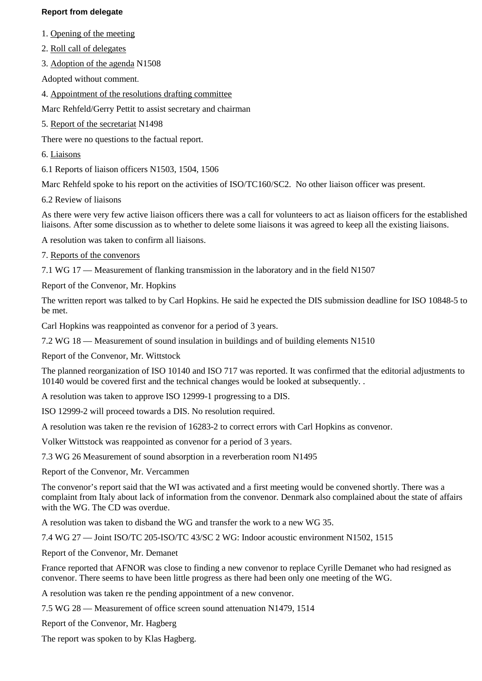# **Report from delegate**

- 1. Opening of the meeting
- 2. Roll call of delegates
- 3. Adoption of the agenda N1508

Adopted without comment.

4. Appointment of the resolutions drafting committee

Marc Rehfeld/Gerry Pettit to assist secretary and chairman

5. Report of the secretariat N1498

There were no questions to the factual report.

- 6. Liaisons
- 6.1 Reports of liaison officers N1503, 1504, 1506

Marc Rehfeld spoke to his report on the activities of ISO/TC160/SC2. No other liaison officer was present.

6.2 Review of liaisons

As there were very few active liaison officers there was a call for volunteers to act as liaison officers for the established liaisons. After some discussion as to whether to delete some liaisons it was agreed to keep all the existing liaisons.

- A resolution was taken to confirm all liaisons.
- 7. Reports of the convenors

7.1 WG 17 — Measurement of flanking transmission in the laboratory and in the field N1507

Report of the Convenor, Mr. Hopkins

The written report was talked to by Carl Hopkins. He said he expected the DIS submission deadline for ISO 10848-5 to be met.

Carl Hopkins was reappointed as convenor for a period of 3 years.

7.2 WG 18 — Measurement of sound insulation in buildings and of building elements N1510

Report of the Convenor, Mr. Wittstock

The planned reorganization of ISO 10140 and ISO 717 was reported. It was confirmed that the editorial adjustments to 10140 would be covered first and the technical changes would be looked at subsequently. .

A resolution was taken to approve ISO 12999-1 progressing to a DIS.

ISO 12999-2 will proceed towards a DIS. No resolution required.

A resolution was taken re the revision of 16283-2 to correct errors with Carl Hopkins as convenor.

Volker Wittstock was reappointed as convenor for a period of 3 years.

7.3 WG 26 Measurement of sound absorption in a reverberation room N1495

Report of the Convenor, Mr. Vercammen

The convenor's report said that the WI was activated and a first meeting would be convened shortly. There was a complaint from Italy about lack of information from the convenor. Denmark also complained about the state of affairs with the WG. The CD was overdue.

A resolution was taken to disband the WG and transfer the work to a new WG 35.

7.4 WG 27 — Joint ISO/TC 205-ISO/TC 43/SC 2 WG: Indoor acoustic environment N1502, 1515

Report of the Convenor, Mr. Demanet

France reported that AFNOR was close to finding a new convenor to replace Cyrille Demanet who had resigned as convenor. There seems to have been little progress as there had been only one meeting of the WG.

A resolution was taken re the pending appointment of a new convenor.

7.5 WG 28 — Measurement of office screen sound attenuation N1479, 1514

Report of the Convenor, Mr. Hagberg

The report was spoken to by Klas Hagberg.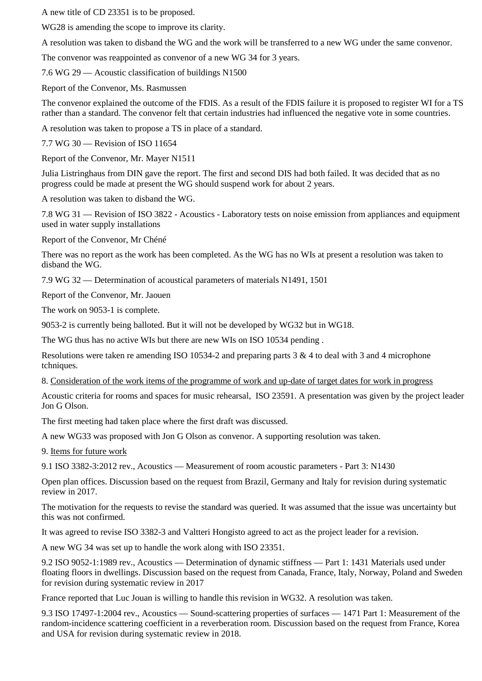A new title of CD 23351 is to be proposed.

WG28 is amending the scope to improve its clarity.

A resolution was taken to disband the WG and the work will be transferred to a new WG under the same convenor.

The convenor was reappointed as convenor of a new WG 34 for 3 years.

7.6 WG 29 — Acoustic classification of buildings N1500

Report of the Convenor, Ms. Rasmussen

The convenor explained the outcome of the FDIS. As a result of the FDIS failure it is proposed to register WI for a TS rather than a standard. The convenor felt that certain industries had influenced the negative vote in some countries.

A resolution was taken to propose a TS in place of a standard.

7.7 WG 30 — Revision of ISO 11654

Report of the Convenor, Mr. Mayer N1511

Julia Listringhaus from DIN gave the report. The first and second DIS had both failed. It was decided that as no progress could be made at present the WG should suspend work for about 2 years.

A resolution was taken to disband the WG.

7.8 WG 31 — Revision of ISO 3822 - Acoustics - Laboratory tests on noise emission from appliances and equipment used in water supply installations

Report of the Convenor, Mr Chéné

There was no report as the work has been completed. As the WG has no WIs at present a resolution was taken to disband the WG.

7.9 WG 32 — Determination of acoustical parameters of materials N1491, 1501

Report of the Convenor, Mr. Jaouen

The work on 9053-1 is complete.

9053-2 is currently being balloted. But it will not be developed by WG32 but in WG18.

The WG thus has no active WIs but there are new WIs on ISO 10534 pending .

Resolutions were taken re amending ISO 10534-2 and preparing parts  $3 \& 4$  to deal with  $3$  and  $4$  microphone tchniques.

8. Consideration of the work items of the programme of work and up-date of target dates for work in progress

Acoustic criteria for rooms and spaces for music rehearsal, ISO 23591. A presentation was given by the project leader Jon G Olson.

The first meeting had taken place where the first draft was discussed.

A new WG33 was proposed with Jon G Olson as convenor. A supporting resolution was taken.

9. Items for future work

9.1 ISO 3382-3:2012 rev., Acoustics — Measurement of room acoustic parameters - Part 3: N1430

Open plan offices. Discussion based on the request from Brazil, Germany and Italy for revision during systematic review in 2017.

The motivation for the requests to revise the standard was queried. It was assumed that the issue was uncertainty but this was not confirmed.

It was agreed to revise ISO 3382-3 and Valtteri Hongisto agreed to act as the project leader for a revision.

A new WG 34 was set up to handle the work along with ISO 23351.

9.2 ISO 9052-1:1989 rev., Acoustics — Determination of dynamic stiffness — Part 1: 1431 Materials used under floating floors in dwellings. Discussion based on the request from Canada, France, Italy, Norway, Poland and Sweden for revision during systematic review in 2017

France reported that Luc Jouan is willing to handle this revision in WG32. A resolution was taken.

9.3 ISO 17497-1:2004 rev., Acoustics — Sound-scattering properties of surfaces — 1471 Part 1: Measurement of the random-incidence scattering coefficient in a reverberation room. Discussion based on the request from France, Korea and USA for revision during systematic review in 2018.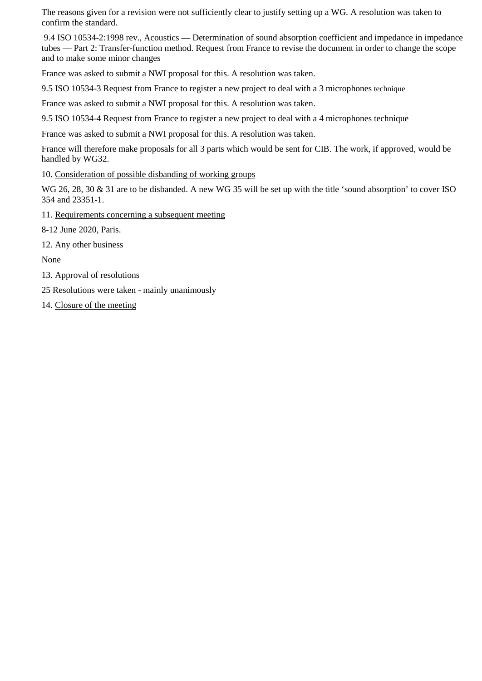The reasons given for a revision were not sufficiently clear to justify setting up a WG. A resolution was taken to confirm the standard.

 9.4 ISO 10534-2:1998 rev., Acoustics — Determination of sound absorption coefficient and impedance in impedance tubes — Part 2: Transfer-function method. Request from France to revise the document in order to change the scope and to make some minor changes

France was asked to submit a NWI proposal for this. A resolution was taken.

9.5 ISO 10534-3 Request from France to register a new project to deal with a 3 microphones technique

France was asked to submit a NWI proposal for this. A resolution was taken.

9.5 ISO 10534-4 Request from France to register a new project to deal with a 4 microphones technique

France was asked to submit a NWI proposal for this. A resolution was taken.

France will therefore make proposals for all 3 parts which would be sent for CIB. The work, if approved, would be handled by WG32.

10. Consideration of possible disbanding of working groups

WG 26, 28, 30 & 31 are to be disbanded. A new WG 35 will be set up with the title 'sound absorption' to cover ISO 354 and 23351-1.

11. Requirements concerning a subsequent meeting

8-12 June 2020, Paris.

12. Any other business

None

- 13. Approval of resolutions
- 25 Resolutions were taken mainly unanimously
- 14. Closure of the meeting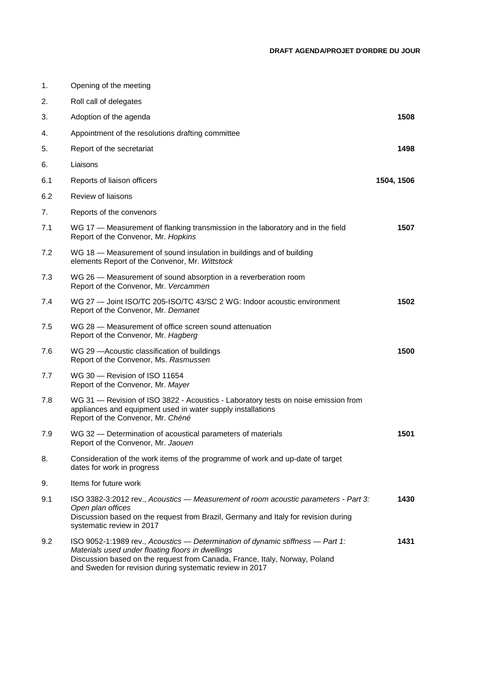| 1.  | Opening of the meeting                                                                                                                                                                                                                                                        |            |
|-----|-------------------------------------------------------------------------------------------------------------------------------------------------------------------------------------------------------------------------------------------------------------------------------|------------|
| 2.  | Roll call of delegates                                                                                                                                                                                                                                                        |            |
| 3.  | Adoption of the agenda                                                                                                                                                                                                                                                        | 1508       |
| 4.  | Appointment of the resolutions drafting committee                                                                                                                                                                                                                             |            |
| 5.  | Report of the secretariat                                                                                                                                                                                                                                                     | 1498       |
| 6.  | Liaisons                                                                                                                                                                                                                                                                      |            |
| 6.1 | Reports of liaison officers                                                                                                                                                                                                                                                   | 1504, 1506 |
| 6.2 | Review of liaisons                                                                                                                                                                                                                                                            |            |
| 7.  | Reports of the convenors                                                                                                                                                                                                                                                      |            |
| 7.1 | WG 17 – Measurement of flanking transmission in the laboratory and in the field<br>Report of the Convenor, Mr. Hopkins                                                                                                                                                        | 1507       |
| 7.2 | WG 18 - Measurement of sound insulation in buildings and of building<br>elements Report of the Convenor, Mr. Wittstock                                                                                                                                                        |            |
| 7.3 | WG 26 – Measurement of sound absorption in a reverberation room<br>Report of the Convenor, Mr. Vercammen                                                                                                                                                                      |            |
| 7.4 | WG 27 - Joint ISO/TC 205-ISO/TC 43/SC 2 WG: Indoor acoustic environment<br>Report of the Convenor, Mr. Demanet                                                                                                                                                                | 1502       |
| 7.5 | WG 28 – Measurement of office screen sound attenuation<br>Report of the Convenor, Mr. Hagberg                                                                                                                                                                                 |            |
| 7.6 | WG 29 - Acoustic classification of buildings<br>Report of the Convenor, Ms. Rasmussen                                                                                                                                                                                         | 1500       |
| 7.7 | WG 30 - Revision of ISO 11654<br>Report of the Convenor, Mr. Mayer                                                                                                                                                                                                            |            |
| 7.8 | WG 31 - Revision of ISO 3822 - Acoustics - Laboratory tests on noise emission from<br>appliances and equipment used in water supply installations<br>Report of the Convenor, Mr. Chéné                                                                                        |            |
| 7.9 | WG 32 - Determination of acoustical parameters of materials<br>Report of the Convenor, Mr. Jaouen                                                                                                                                                                             | 1501       |
| 8.  | Consideration of the work items of the programme of work and up-date of target<br>dates for work in progress                                                                                                                                                                  |            |
| 9.  | Items for future work                                                                                                                                                                                                                                                         |            |
| 9.1 | ISO 3382-3:2012 rev., Acoustics - Measurement of room acoustic parameters - Part 3:<br>Open plan offices<br>Discussion based on the request from Brazil, Germany and Italy for revision during<br>systematic review in 2017                                                   | 1430       |
| 9.2 | ISO 9052-1:1989 rev., Acoustics - Determination of dynamic stiffness - Part 1:<br>Materials used under floating floors in dwellings<br>Discussion based on the request from Canada, France, Italy, Norway, Poland<br>and Sweden for revision during systematic review in 2017 | 1431       |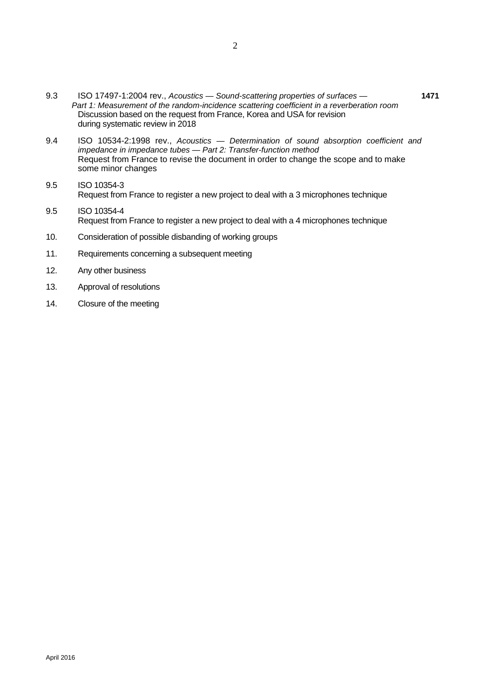- 9.3 ISO 17497-1:2004 rev., *Acoustics Sound-scattering properties of surfaces* **1471** *Part 1: Measurement of the random-incidence scattering coefficient in a reverberation room*  Discussion based on the request from France, Korea and USA for revision during systematic review in 2018
- 9.4 ISO 10534-2:1998 rev., *Acoustics Determination of sound absorption coefficient and impedance in impedance tubes — Part 2: Transfer-function method* Request from France to revise the document in order to change the scope and to make some minor changes
- 9.5 ISO 10354-3 Request from France to register a new project to deal with a 3 microphones technique
- 9.5 ISO 10354-4 Request from France to register a new project to deal with a 4 microphones technique
- 10. Consideration of possible disbanding of working groups
- 11. Requirements concerning a subsequent meeting
- 12. Any other business
- 13. Approval of resolutions
- 14. Closure of the meeting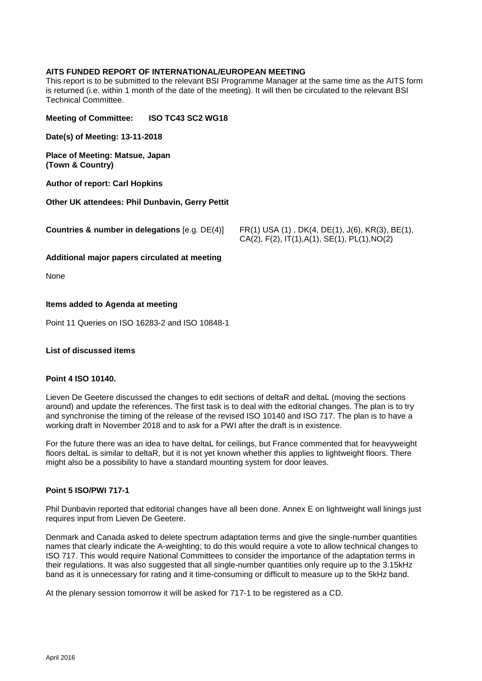#### **AITS FUNDED REPORT OF INTERNATIONAL/EUROPEAN MEETING**

This report is to be submitted to the relevant BSI Programme Manager at the same time as the AITS form is returned (i.e. within 1 month of the date of the meeting). It will then be circulated to the relevant BSI Technical Committee.

**Meeting of Committee: ISO TC43 SC2 WG18**

**Date(s) of Meeting: 13-11-2018**

**Place of Meeting: Matsue, Japan (Town & Country)** 

**Author of report: Carl Hopkins**

**Other UK attendees: Phil Dunbavin, Gerry Pettit**

**Countries & number in delegations** [e.g. DE(4)] FR(1) USA (1) , DK(4, DE(1), J(6), KR(3), BE(1), CA(2), F(2), IT(1),A(1), SE(1), PL(1),NO(2)

#### **Additional major papers circulated at meeting**

None

#### **Items added to Agenda at meeting**

Point 11 Queries on ISO 16283-2 and ISO 10848-1

#### **List of discussed items**

#### **Point 4 ISO 10140.**

Lieven De Geetere discussed the changes to edit sections of deltaR and deltaL (moving the sections around) and update the references. The first task is to deal with the editorial changes. The plan is to try and synchronise the timing of the release of the revised ISO 10140 and ISO 717. The plan is to have a working draft in November 2018 and to ask for a PWI after the draft is in existence.

For the future there was an idea to have deltaL for ceilings, but France commented that for heavyweight floors deltaL is similar to deltaR, but it is not yet known whether this applies to lightweight floors. There might also be a possibility to have a standard mounting system for door leaves.

#### **Point 5 ISO/PWI 717-1**

Phil Dunbavin reported that editorial changes have all been done. Annex E on lightweight wall linings just requires input from Lieven De Geetere.

Denmark and Canada asked to delete spectrum adaptation terms and give the single-number quantities names that clearly indicate the A-weighting; to do this would require a vote to allow technical changes to ISO 717. This would require National Committees to consider the importance of the adaptation terms in their regulations. It was also suggested that all single-number quantities only require up to the 3.15kHz band as it is unnecessary for rating and it time-consuming or difficult to measure up to the 5kHz band.

At the plenary session tomorrow it will be asked for 717-1 to be registered as a CD.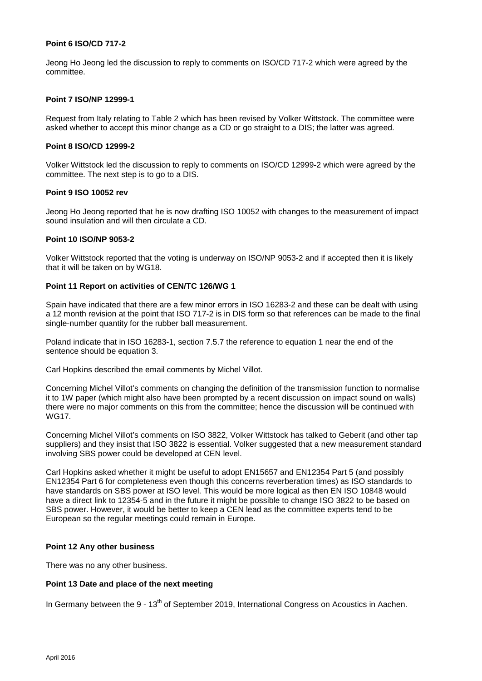#### **Point 6 ISO/CD 717-2**

Jeong Ho Jeong led the discussion to reply to comments on ISO/CD 717-2 which were agreed by the committee.

#### **Point 7 ISO/NP 12999-1**

Request from Italy relating to Table 2 which has been revised by Volker Wittstock. The committee were asked whether to accept this minor change as a CD or go straight to a DIS; the latter was agreed.

#### **Point 8 ISO/CD 12999-2**

Volker Wittstock led the discussion to reply to comments on ISO/CD 12999-2 which were agreed by the committee. The next step is to go to a DIS.

#### **Point 9 ISO 10052 rev**

Jeong Ho Jeong reported that he is now drafting ISO 10052 with changes to the measurement of impact sound insulation and will then circulate a CD.

#### **Point 10 ISO/NP 9053-2**

Volker Wittstock reported that the voting is underway on ISO/NP 9053-2 and if accepted then it is likely that it will be taken on by WG18.

#### **Point 11 Report on activities of CEN/TC 126/WG 1**

Spain have indicated that there are a few minor errors in ISO 16283-2 and these can be dealt with using a 12 month revision at the point that ISO 717-2 is in DIS form so that references can be made to the final single-number quantity for the rubber ball measurement.

Poland indicate that in ISO 16283-1, section 7.5.7 the reference to equation 1 near the end of the sentence should be equation 3.

Carl Hopkins described the email comments by Michel Villot.

Concerning Michel Villot's comments on changing the definition of the transmission function to normalise it to 1W paper (which might also have been prompted by a recent discussion on impact sound on walls) there were no major comments on this from the committee; hence the discussion will be continued with WG17.

Concerning Michel Villot's comments on ISO 3822, Volker Wittstock has talked to Geberit (and other tap suppliers) and they insist that ISO 3822 is essential. Volker suggested that a new measurement standard involving SBS power could be developed at CEN level.

Carl Hopkins asked whether it might be useful to adopt EN15657 and EN12354 Part 5 (and possibly EN12354 Part 6 for completeness even though this concerns reverberation times) as ISO standards to have standards on SBS power at ISO level. This would be more logical as then EN ISO 10848 would have a direct link to 12354-5 and in the future it might be possible to change ISO 3822 to be based on SBS power. However, it would be better to keep a CEN lead as the committee experts tend to be European so the regular meetings could remain in Europe.

#### **Point 12 Any other business**

There was no any other business.

## **Point 13 Date and place of the next meeting**

In Germany between the 9 - 13<sup>th</sup> of September 2019, International Congress on Acoustics in Aachen.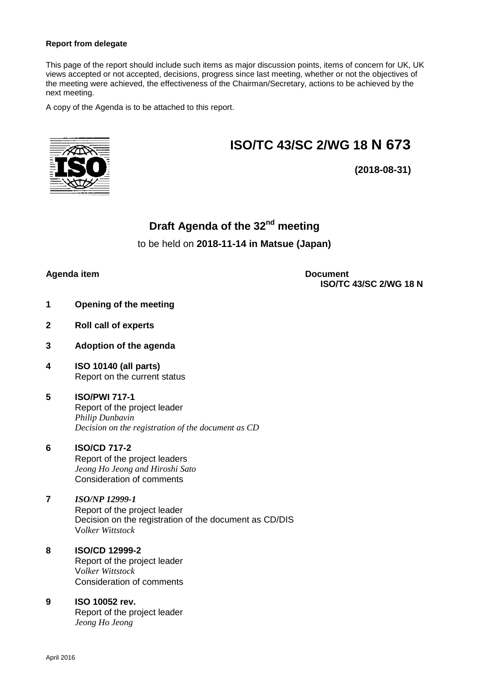#### **Report from delegate**

This page of the report should include such items as major discussion points, items of concern for UK, UK views accepted or not accepted, decisions, progress since last meeting, whether or not the objectives of the meeting were achieved, the effectiveness of the Chairman/Secretary, actions to be achieved by the next meeting.

A copy of the Agenda is to be attached to this report.

# **ISO/TC 43/SC 2/WG 18 N 673**



**(2018-08-31)**

# **Draft Agenda of the 32nd meeting**

# to be held on **2018-11-14 in Matsue (Japan)**

# **Agenda item Document**

**ISO/TC 43/SC 2/WG 18 N**

- **1 Opening of the meeting**
- **2 Roll call of experts**
- **3 Adoption of the agenda**
- **4 ISO 10140 (all parts)**  Report on the current status

# **5 ISO/PWI 717-1** Report of the project leader *Philip Dunbavin Decision on the registration of the document as CD*

# **6 ISO/CD 717-2**

Report of the project leaders *Jeong Ho Jeong and Hiroshi Sato*  Consideration of comments

# **7** *ISO/NP 12999-1* Report of the project leader Decision on the registration of the document as CD/DIS V*olker Wittstock*

#### **8 ISO/CD 12999-2** Report of the project leader V*olker Wittstock* Consideration of comments

# **9 ISO 10052 rev.**

Report of the project leader *Jeong Ho Jeong*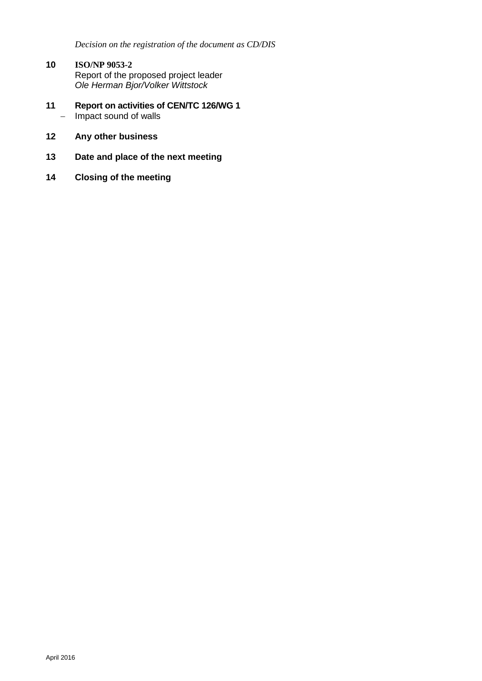*Decision on the registration of the document as CD/DIS*

- **10 ISO/NP 9053-2** Report of the proposed project leader *Ole Herman Bjor/Volker Wittstock*
- **11 Report on activities of CEN/TC 126/WG 1**  $-$  Impact sound of walls
- **12 Any other business**
- **13 Date and place of the next meeting**
- **14 Closing of the meeting**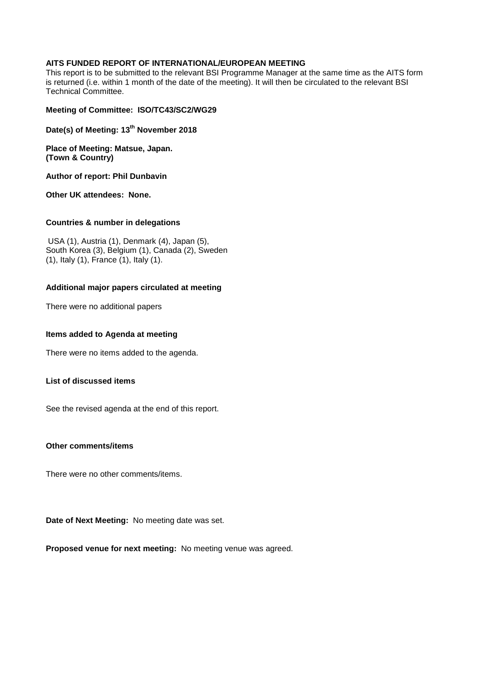### **AITS FUNDED REPORT OF INTERNATIONAL/EUROPEAN MEETING**

This report is to be submitted to the relevant BSI Programme Manager at the same time as the AITS form is returned (i.e. within 1 month of the date of the meeting). It will then be circulated to the relevant BSI Technical Committee.

#### **Meeting of Committee: ISO/TC43/SC2/WG29**

**Date(s) of Meeting: 13 th November 2018**

**Place of Meeting: Matsue, Japan. (Town & Country)** 

**Author of report: Phil Dunbavin**

**Other UK attendees: None.**

#### **Countries & number in delegations**

 USA (1), Austria (1), Denmark (4), Japan (5), South Korea (3), Belgium (1), Canada (2), Sweden (1), Italy (1), France (1), Italy (1).

#### **Additional major papers circulated at meeting**

There were no additional papers

#### **Items added to Agenda at meeting**

There were no items added to the agenda.

#### **List of discussed items**

See the revised agenda at the end of this report.

## **Other comments/items**

There were no other comments/items.

**Date of Next Meeting:** No meeting date was set.

**Proposed venue for next meeting:** No meeting venue was agreed.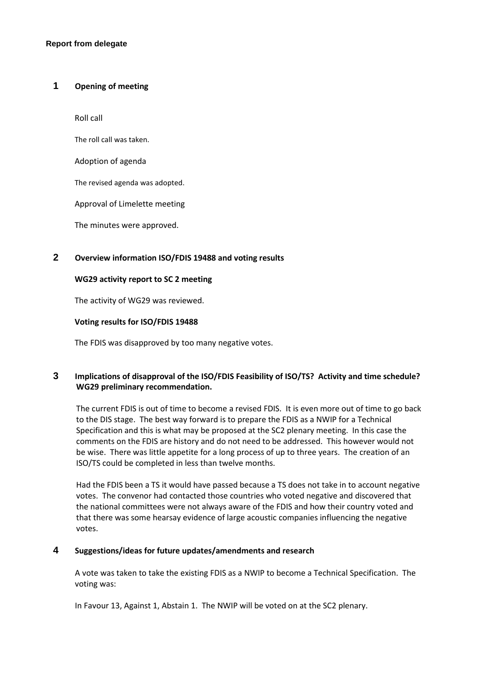# **1 Opening of meeting**

Roll call

The roll call was taken.

Adoption of agenda

The revised agenda was adopted.

Approval of Limelette meeting

The minutes were approved.

# **2 Overview information ISO/FDIS 19488 and voting results**

#### **WG29 activity report to SC 2 meeting**

The activity of WG29 was reviewed.

#### **Voting results for ISO/FDIS 19488**

The FDIS was disapproved by too many negative votes.

# **3 Implications of disapproval of the ISO/FDIS Feasibility of ISO/TS? Activity and time schedule? WG29 preliminary recommendation.**

The current FDIS is out of time to become a revised FDIS. It is even more out of time to go back to the DIS stage. The best way forward is to prepare the FDIS as a NWIP for a Technical Specification and this is what may be proposed at the SC2 plenary meeting. In this case the comments on the FDIS are history and do not need to be addressed. This however would not be wise. There was little appetite for a long process of up to three years. The creation of an ISO/TS could be completed in less than twelve months.

Had the FDIS been a TS it would have passed because a TS does not take in to account negative votes. The convenor had contacted those countries who voted negative and discovered that the national committees were not always aware of the FDIS and how their country voted and that there was some hearsay evidence of large acoustic companies influencing the negative votes.

## **4 Suggestions/ideas for future updates/amendments and research**

A vote was taken to take the existing FDIS as a NWIP to become a Technical Specification. The voting was:

In Favour 13, Against 1, Abstain 1. The NWIP will be voted on at the SC2 plenary.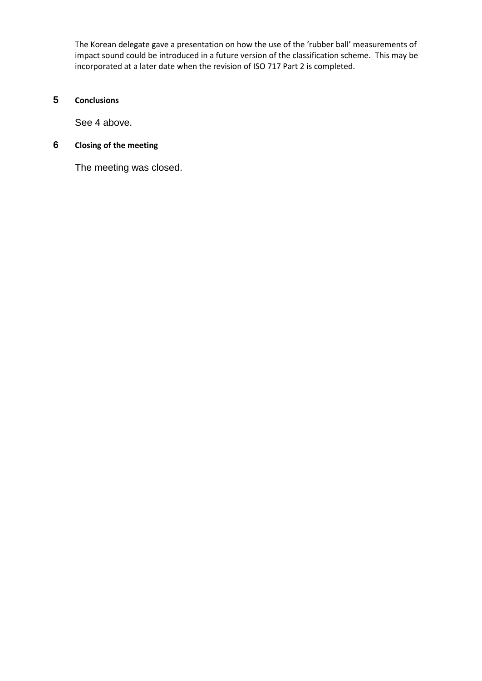The Korean delegate gave a presentation on how the use of the 'rubber ball' measurements of impact sound could be introduced in a future version of the classification scheme. This may be incorporated at a later date when the revision of ISO 717 Part 2 is completed.

# **5 Conclusions**

See 4 above.

# **6 Closing of the meeting**

The meeting was closed.